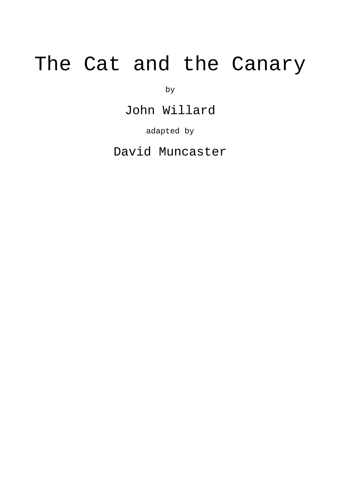## The Cat and the Canary

by

John Willard

adapted by

David Muncaster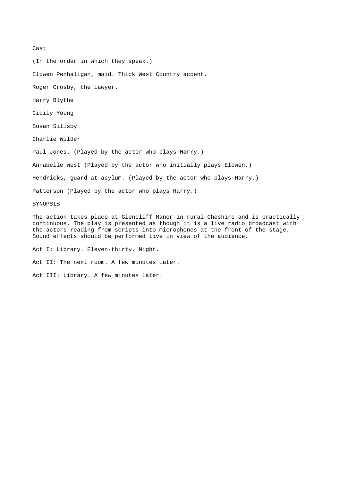Cast

(In the order in which they speak.)

Elowen Penhaligan, maid. Thick West Country accent.

Roger Crosby, the lawyer.

Harry Blythe

Cicily Young

Susan Sillsby

Charlie Wilder

Paul Jones. (Played by the actor who plays Harry.)

Annabelle West (Played by the actor who initially plays Elowen.)

Hendricks, guard at asylum. (Played by the actor who plays Harry.)

Patterson (Played by the actor who plays Harry.)

**SYNOPSIS** 

The action takes place at Glencliff Manor in rural Cheshire and is practically continuous. The play is presented as though it is a live radio broadcast with the actors reading from scripts into microphones at the front of the stage. Sound effects should be performed live in view of the audience.

Act I: Library. Eleven-thirty. Night.

Act II: The next room. A few minutes later.

Act III: Library. A few minutes later.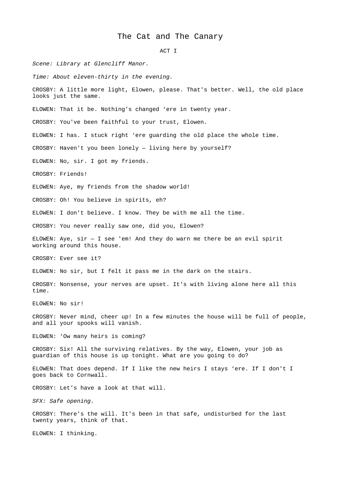## The Cat and The Canary

ACT I

*Scene: Library at Glencliff Manor.* 

*Time: About eleven-thirty in the evening.*

CROSBY: A little more light, Elowen, please. That's better. Well, the old place looks just the same.

ELOWEN: That it be. Nothing's changed 'ere in twenty year.

CROSBY: You've been faithful to your trust, Elowen.

ELOWEN: I has. I stuck right 'ere guarding the old place the whole time.

CROSBY: Haven't you been lonely — living here by yourself?

ELOWEN: No, sir. I got my friends.

CROSBY: Friends!

ELOWEN: Aye, my friends from the shadow world!

CROSBY: Oh! You believe in spirits, eh?

ELOWEN: I don't believe. I know. They be with me all the time.

CROSBY: You never really saw one, did you, Elowen?

ELOWEN: Aye,  $\sin - I$  see 'em! And they do warn me there be an evil spirit working around this house.

CROSBY: Ever see it?

ELOWEN: No sir, but I felt it pass me in the dark on the stairs.

CROSBY: Nonsense, your nerves are upset. It's with living alone here all this time.

ELOWEN: No sir!

CROSBY: Never mind, cheer up! In a few minutes the house will be full of people, and all your spooks will vanish.

ELOWEN: 'Ow many heirs is coming?

CROSBY: Six! All the surviving relatives. By the way, Elowen, your job as guardian of this house is up tonight. What are you going to do?

ELOWEN: That does depend. If I like the new heirs I stays 'ere. If I don't I goes back to Cornwall.

CROSBY: Let's have a look at that will.

*SFX: Safe opening.*

CROSBY: There's the will. It's been in that safe, undisturbed for the last twenty years, think of that.

ELOWEN: I thinking.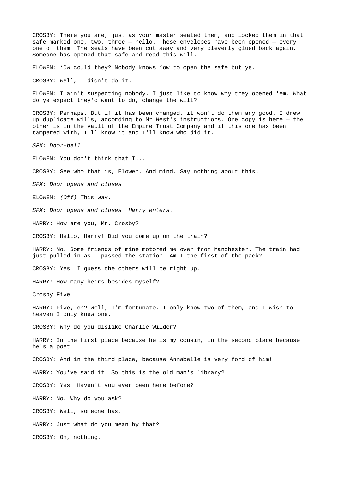CROSBY: There you are, just as your master sealed them, and locked them in that safe marked one, two, three — hello. These envelopes have been opened — every one of them! The seals have been cut away and very cleverly glued back again. Someone has opened that safe and read this will. ELOWEN: 'Ow could they? Nobody knows 'ow to open the safe but ye. CROSBY: Well, I didn't do it. ELOWEN: I ain't suspecting nobody. I just like to know why they opened 'em. What do ye expect they'd want to do, change the will? CROSBY: Perhaps. But if it has been changed, it won't do them any good. I drew up duplicate wills, according to Mr West's instructions. One copy is here — the other is in the vault of the Empire Trust Company and if this one has been tampered with, I'll know it and I'll know who did it. *SFX: Door-bell* ELOWEN: You don't think that I... CROSBY: See who that is, Elowen. And mind. Say nothing about this. *SFX: Door opens and closes.* ELOWEN: *(Off)* This way. *SFX: Door opens and closes. Harry enters.* HARRY: How are you, Mr. Crosby? CROSBY: Hello, Harry! Did you come up on the train? HARRY: No. Some friends of mine motored me over from Manchester. The train had just pulled in as I passed the station. Am I the first of the pack? CROSBY: Yes. I guess the others will be right up. HARRY: How many heirs besides myself? Crosby Five. HARRY: Five, eh? Well, I'm fortunate. I only know two of them, and I wish to heaven I only knew one. CROSBY: Why do you dislike Charlie Wilder? HARRY: In the first place because he is my cousin, in the second place because he's a poet. CROSBY: And in the third place, because Annabelle is very fond of him! HARRY: You've said it! So this is the old man's library? CROSBY: Yes. Haven't you ever been here before? HARRY: No. Why do you ask? CROSBY: Well, someone has. HARRY: Just what do you mean by that? CROSBY: Oh, nothing.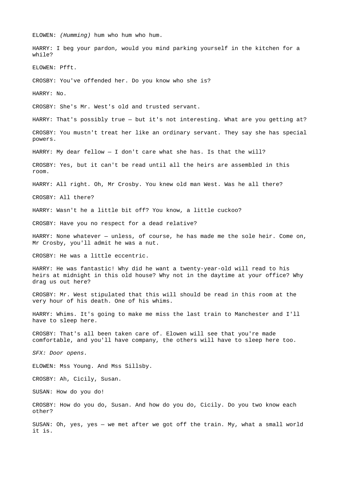ELOWEN: *(Humming)* hum who hum who hum. HARRY: I beg your pardon, would you mind parking yourself in the kitchen for a while? ELOWEN: Pfft. CROSBY: You've offended her. Do you know who she is? HARRY: No. CROSBY: She's Mr. West's old and trusted servant. HARRY: That's possibly true — but it's not interesting. What are you getting at? CROSBY: You mustn't treat her like an ordinary servant. They say she has special powers. HARRY: My dear fellow  $-$  I don't care what she has. Is that the will? CROSBY: Yes, but it can't be read until all the heirs are assembled in this room. HARRY: All right. Oh, Mr Crosby. You knew old man West. Was he all there? CROSBY: All there? HARRY: Wasn't he a little bit off? You know, a little cuckoo? CROSBY: Have you no respect for a dead relative? HARRY: None whatever - unless, of course, he has made me the sole heir. Come on, Mr Crosby, you'll admit he was a nut. CROSBY: He was a little eccentric. HARRY: He was fantastic! Why did he want a twenty-year-old will read to his heirs at midnight in this old house? Why not in the daytime at your office? Why drag us out here? CROSBY: Mr. West stipulated that this will should be read in this room at the very hour of his death. One of his whims. HARRY: Whims. It's going to make me miss the last train to Manchester and I'll have to sleep here. CROSBY: That's all been taken care of. Elowen will see that you're made comfortable, and you'll have company, the others will have to sleep here too. *SFX: Door opens.* ELOWEN: Mss Young. And Mss Sillsby. CROSBY: Ah, Cicily, Susan. SUSAN: How do you do! CROSBY: How do you do, Susan. And how do you do, Cicily. Do you two know each other? SUSAN: Oh, yes, yes — we met after we got off the train. My, what a small world it is.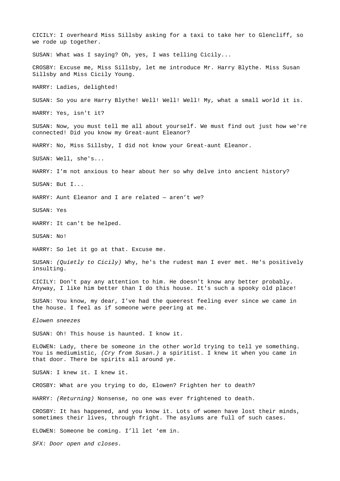CICILY: I overheard Miss Sillsby asking for a taxi to take her to Glencliff, so we rode up together. SUSAN: What was I saying? Oh, yes, I was telling Cicily... CROSBY: Excuse me, Miss Sillsby, let me introduce Mr. Harry Blythe. Miss Susan Sillsby and Miss Cicily Young. HARRY: Ladies, delighted! SUSAN: So you are Harry Blythe! Well! Well! Well! My, what a small world it is. HARRY: Yes, isn't it? SUSAN: Now, you must tell me all about yourself. We must find out just how we're connected! Did you know my Great-aunt Eleanor? HARRY: No, Miss Sillsby, I did not know your Great-aunt Eleanor. SUSAN: Well, she's... HARRY: I'm not anxious to hear about her so why delve into ancient history? SUSAN: But I... HARRY: Aunt Eleanor and I are related — aren't we? SUSAN: Yes HARRY: It can't be helped. SUSAN: No! HARRY: So let it go at that. Excuse me. SUSAN: *(Quietly to Cicily)* Why, he's the rudest man I ever met. He's positively insulting. CICILY: Don't pay any attention to him. He doesn't know any better probably. Anyway, I like him better than I do this house. It's such a spooky old place! SUSAN: You know, my dear, I've had the queerest feeling ever since we came in the house. I feel as if someone were peering at me. *Elowen sneezes* SUSAN: Oh! This house is haunted. I know it. ELOWEN: Lady, there be someone in the other world trying to tell ye something. You is mediumistic, *(Cry from Susan.)* a spiritist. I knew it when you came in that door. There be spirits all around ye. SUSAN: I knew it. I knew it. CROSBY: What are you trying to do, Elowen? Frighten her to death? HARRY: *(Returning)* Nonsense, no one was ever frightened to death. CROSBY: It has happened, and you know it. Lots of women have lost their minds, sometimes their lives, through fright. The asylums are full of such cases. ELOWEN: Someone be coming. I'll let 'em in. *SFX: Door open and closes.*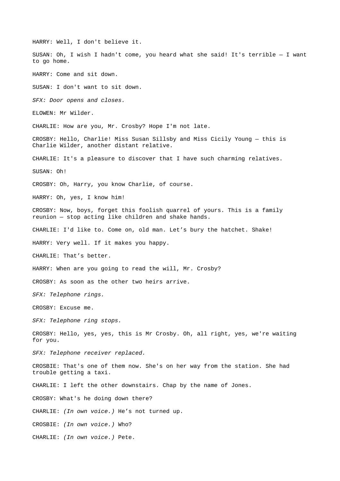HARRY: Well, I don't believe it. SUSAN: Oh, I wish I hadn't come, you heard what she said! It's terrible  $-$  I want to go home. HARRY: Come and sit down. SUSAN: I don't want to sit down. *SFX: Door opens and closes.* ELOWEN: Mr Wilder. CHARLIE: How are you, Mr. Crosby? Hope I'm not late. CROSBY: Hello, Charlie! Miss Susan Sillsby and Miss Cicily Young — this is Charlie Wilder, another distant relative. CHARLIE: It's a pleasure to discover that I have such charming relatives. SUSAN: Oh! CROSBY: Oh, Harry, you know Charlie, of course. HARRY: Oh, yes, I know him! CROSBY: Now, boys, forget this foolish quarrel of yours. This is a family reunion — stop acting like children and shake hands. CHARLIE: I'd like to. Come on, old man. Let's bury the hatchet. Shake! HARRY: Very well. If it makes you happy. CHARLIE: That's better. HARRY: When are you going to read the will, Mr. Crosby? CROSBY: As soon as the other two heirs arrive. *SFX: Telephone rings.* CROSBY: Excuse me. *SFX: Telephone ring stops.* CROSBY: Hello, yes, yes, this is Mr Crosby. Oh, all right, yes, we're waiting for you. *SFX: Telephone receiver replaced.* CROSBIE: That's one of them now. She's on her way from the station. She had trouble getting a taxi. CHARLIE: I left the other downstairs. Chap by the name of Jones. CROSBY: What's he doing down there? CHARLIE: *(In own voice.)* He's not turned up. CROSBIE: *(In own voice.)* Who? CHARLIE: *(In own voice.)* Pete.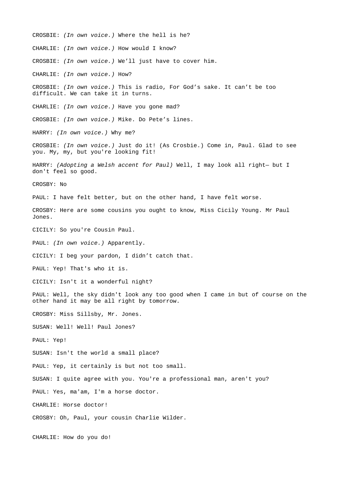CROSBIE: *(In own voice.)* Where the hell is he? CHARLIE: *(In own voice.)* How would I know? CROSBIE: *(In own voice.)* We'll just have to cover him. CHARLIE: *(In own voice.)* How? CROSBIE: *(In own voice.)* This is radio, For God's sake. It can't be too difficult. We can take it in turns. CHARLIE: *(In own voice.)* Have you gone mad? CROSBIE: *(In own voice.)* Mike. Do Pete's lines. HARRY: *(In own voice.)* Why me? CROSBIE: *(In own voice.)* Just do it! (As Crosbie.) Come in, Paul. Glad to see you. My, my, but you're looking fit! HARRY: *(Adopting a Welsh accent for Paul)* Well, I may look all right— but I don't feel so good. CROSBY: No PAUL: I have felt better, but on the other hand, I have felt worse. CROSBY: Here are some cousins you ought to know, Miss Cicily Young. Mr Paul Jones. CICILY: So you're Cousin Paul. PAUL: *(In own voice.)* Apparently. CICILY: I beg your pardon, I didn't catch that. PAUL: Yep! That's who it is. CICILY: Isn't it a wonderful night? PAUL: Well, the sky didn't look any too good when I came in but of course on the other hand it may be all right by tomorrow. CROSBY: Miss Sillsby, Mr. Jones. SUSAN: Well! Well! Paul Jones? PAUL: Yep! SUSAN: Isn't the world a small place? PAUL: Yep, it certainly is but not too small. SUSAN: I quite agree with you. You're a professional man, aren't you? PAUL: Yes, ma'am, I'm a horse doctor. CHARLIE: Horse doctor! CROSBY: Oh, Paul, your cousin Charlie Wilder. CHARLIE: How do you do!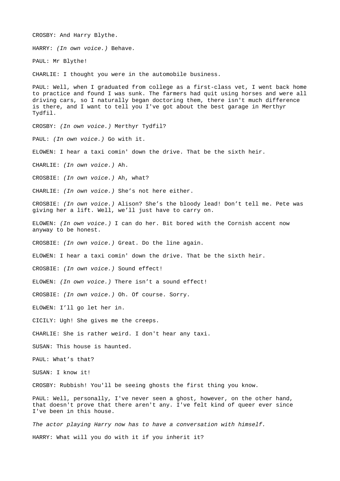CROSBY: And Harry Blythe. HARRY: *(In own voice.)* Behave*.* PAUL: Mr Blythe! CHARLIE: I thought you were in the automobile business. PAUL: Well, when I graduated from college as a first-class vet, I went back home to practice and found I was sunk. The farmers had quit using horses and were all driving cars, so I naturally began doctoring them, there isn't much difference is there, and I want to tell you I've got about the best garage in Merthyr Tydfil. CROSBY: *(In own voice.)* Merthyr Tydfil? PAUL: *(In own voice.)* Go with it. ELOWEN: I hear a taxi comin' down the drive. That be the sixth heir. CHARLIE: *(In own voice.)* Ah. CROSBIE: *(In own voice.)* Ah, what? CHARLIE: *(In own voice.)* She's not here either. CROSBIE: *(In own voice.)* Alison? She's the bloody lead! Don't tell me. Pete was giving her a lift. Well, we'll just have to carry on. ELOWEN: *(In own voice.)* I can do her. Bit bored with the Cornish accent now anyway to be honest. CROSBIE: *(In own voice.)* Great. Do the line again. ELOWEN: I hear a taxi comin' down the drive. That be the sixth heir. CROSBIE: *(In own voice.)* Sound effect! ELOWEN: *(In own voice.)* There isn't a sound effect! CROSBIE: *(In own voice.)* Oh. Of course. Sorry. ELOWEN: I'll go let her in. CICILY: Ugh! She gives me the creeps. CHARLIE: She is rather weird. I don't hear any taxi. SUSAN: This house is haunted. PAUL: What's that? SUSAN: I know it! CROSBY: Rubbish! You'll be seeing ghosts the first thing you know. PAUL: Well, personally, I've never seen a ghost, however, on the other hand, that doesn't prove that there aren't any. I've felt kind of queer ever since I've been in this house. *The actor playing Harry now has to have a conversation with himself.*

HARRY: What will you do with it if you inherit it?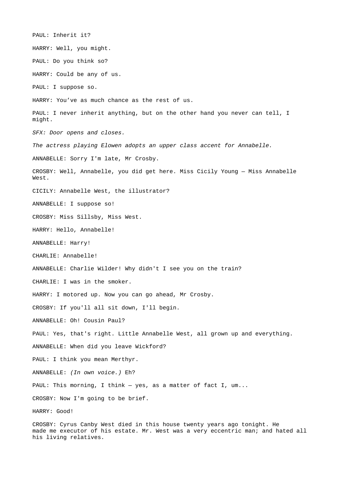PAUL: Inherit it? HARRY: Well, you might. PAUL: Do you think so? HARRY: Could be any of us. PAUL: I suppose so. HARRY: You've as much chance as the rest of us. PAUL: I never inherit anything, but on the other hand you never can tell, I might. *SFX: Door opens and closes. The actress playing Elowen adopts an upper class accent for Annabelle.* ANNABELLE: Sorry I'm late, Mr Crosby. CROSBY: Well, Annabelle, you did get here. Miss Cicily Young — Miss Annabelle West. CICILY: Annabelle West, the illustrator? ANNABELLE: I suppose so! CROSBY: Miss Sillsby, Miss West. HARRY: Hello, Annabelle! ANNABELLE: Harry! CHARLIE: Annabelle! ANNABELLE: Charlie Wilder! Why didn't I see you on the train? CHARLIE: I was in the smoker. HARRY: I motored up. Now you can go ahead, Mr Crosby. CROSBY: If you'll all sit down, I'll begin. ANNABELLE: Oh! Cousin Paul? PAUL: Yes, that's right. Little Annabelle West, all grown up and everything. ANNABELLE: When did you leave Wickford? PAUL: I think you mean Merthyr. ANNABELLE: *(In own voice.)* Eh? PAUL: This morning, I think — yes, as a matter of fact I, um... CROSBY: Now I'm going to be brief. HARRY: Good!

CROSBY: Cyrus Canby West died in this house twenty years ago tonight. He made me executor of his estate. Mr. West was a very eccentric man; and hated all his living relatives.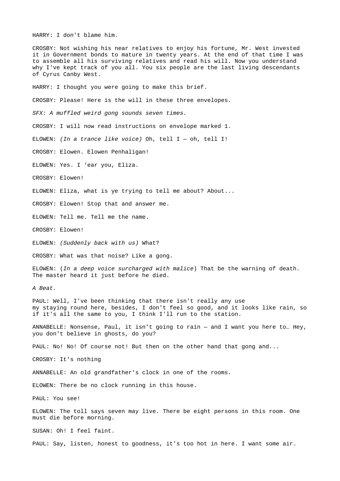HARRY: I don't blame him.

CROSBY: Not wishing his near relatives to enjoy his fortune, Mr. West invested it in Government bonds to mature in twenty years. At the end of that time I was to assemble all his surviving relatives and read his will. Now you understand why I've kept track of you all. You six people are the last living descendants of Cyrus Canby West.

HARRY: I thought you were going to make this brief.

CROSBY: Please! Here is the will in these three envelopes.

*SFX: A muffled weird gong sounds seven times.*

CROSBY: I will now read instructions on envelope marked 1.

ELOWEN: *(In a trance like voice)* Oh, tell I — oh, tell I!

CROSBY: Elowen. Elowen Penhaligan!

ELOWEN: Yes. I 'ear you, Eliza.

CROSBY: Elowen!

ELOWEN: Eliza, what is ye trying to tell me about? About...

CROSBY: Elowen! Stop that and answer me.

ELOWEN: Tell me. Tell me the name.

CROSBY: Elowen!

ELOWEN: *(Suddenly back with us)* What?

CROSBY: What was that noise? Like a gong.

ELOWEN: (*In a deep voice surcharged with malice*) That be the warning of death. The master heard it just before he died.

*A Beat.*

PAUL: Well, I've been thinking that there isn't really any use my staying round here, besides, I don't feel so good, and it looks like rain, so if it's all the same to you, I think I'll run to the station.

ANNABELLE: Nonsense, Paul, it isn't going to rain — and I want you here to… Hey, you don't believe in ghosts, do you?

PAUL: No! No! Of course not! But then on the other hand that gong and...

CROSBY: It's nothing

ANNABELLE: An old grandfather's clock in one of the rooms.

ELOWEN: There be no clock running in this house.

PAUL: You see!

ELOWEN: The toll says seven may live. There be eight persons in this room. One must die before morning.

SUSAN: Oh! I feel faint.

PAUL: Say, listen, honest to goodness, it's too hot in here. I want some air.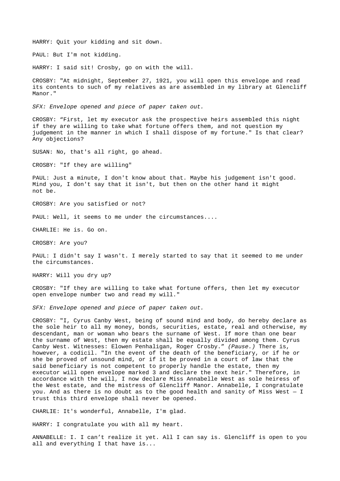HARRY: Quit your kidding and sit down.

PAUL: But I'm not kidding.

HARRY: I said sit! Crosby, go on with the will.

CROSBY: "At midnight, September 27, 1921, you will open this envelope and read its contents to such of my relatives as are assembled in my library at Glencliff Manor."

*SFX: Envelope opened and piece of paper taken out.*

CROSBY: "First, let my executor ask the prospective heirs assembled this night if they are willing to take what fortune offers them, and not question my judgement in the manner in which I shall dispose of my fortune." Is that clear? Any objections?

SUSAN: No, that's all right, go ahead.

CROSBY: "If they are willing"

PAUL: Just a minute, I don't know about that. Maybe his judgement isn't good. Mind you, I don't say that it isn't, but then on the other hand it might not be.

CROSBY: Are you satisfied or not?

PAUL: Well, it seems to me under the circumstances....

CHARLIE: He is. Go on.

CROSBY: Are you?

PAUL: I didn't say I wasn't. I merely started to say that it seemed to me under the circumstances.

HARRY: Will you dry up?

CROSBY: "If they are willing to take what fortune offers, then let my executor open envelope number two and read my will."

*SFX: Envelope opened and piece of paper taken out.*

CROSBY: "I, Cyrus Canby West, being of sound mind and body, do hereby declare as the sole heir to all my money, bonds, securities, estate, real and otherwise, my descendant, man or woman who bears the surname of West. If more than one bear the surname of West, then my estate shall be equally divided among them. Cyrus Canby West. Witnesses: Elowen Penhaligan, Roger Crosby." *(Pause.)* There is, however, a codicil. "In the event of the death of the beneficiary, or if he or she be proved of unsound mind, or if it be proved in a court of law that the said beneficiary is not competent to properly handle the estate, then my executor will open envelope marked 3 and declare the next heir." Therefore, in accordance with the will, I now declare Miss Annabelle West as sole heiress of the West estate, and the mistress of Glencliff Manor. Annabelle, I congratulate you. And as there is no doubt as to the good health and sanity of Miss West  $-$  I trust this third envelope shall never be opened.

CHARLIE: It's wonderful, Annabelle, I'm glad.

HARRY: I congratulate you with all my heart.

ANNABELLE: I. I can't realize it yet. All I can say is. Glencliff is open to you all and everything I that have is...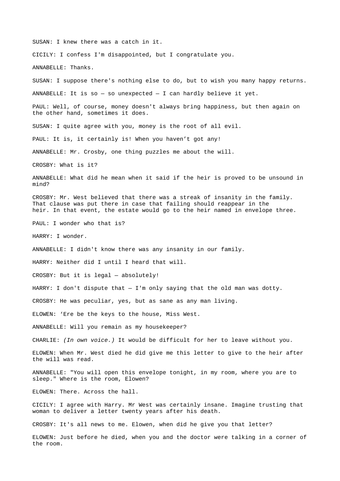SUSAN: I knew there was a catch in it.

CICILY: I confess I'm disappointed, but I congratulate you.

ANNABELLE: Thanks.

SUSAN: I suppose there's nothing else to do, but to wish you many happy returns.

ANNABELLE: It is so  $-$  so unexpected  $-$  I can hardly believe it yet.

PAUL: Well, of course, money doesn't always bring happiness, but then again on the other hand, sometimes it does.

SUSAN: I quite agree with you, money is the root of all evil.

PAUL: It is, it certainly is! When you haven't got any!

ANNABELLE: Mr. Crosby, one thing puzzles me about the will.

CROSBY: What is it?

ANNABELLE: What did he mean when it said if the heir is proved to be unsound in mind?

CROSBY: Mr. West believed that there was a streak of insanity in the family. That clause was put there in case that failing should reappear in the heir. In that event, the estate would go to the heir named in envelope three.

PAUL: I wonder who that is?

HARRY: I wonder.

ANNABELLE: I didn't know there was any insanity in our family.

HARRY: Neither did I until I heard that will.

CROSBY: But it is legal — absolutely!

HARRY: I don't dispute that  $-$  I'm only saying that the old man was dotty.

CROSBY: He was peculiar, yes, but as sane as any man living.

ELOWEN: 'Ere be the keys to the house, Miss West.

ANNABELLE: Will you remain as my housekeeper?

CHARLIE: *(In own voice.)* It would be difficult for her to leave without you.

ELOWEN: When Mr. West died he did give me this letter to give to the heir after the will was read.

ANNABELLE: "You will open this envelope tonight, in my room, where you are to sleep." Where is the room, Elowen?

ELOWEN: There. Across the hall.

CICILY: I agree with Harry. Mr West was certainly insane. Imagine trusting that woman to deliver a letter twenty years after his death.

CROSBY: It's all news to me. Elowen, when did he give you that letter?

ELOWEN: Just before he died, when you and the doctor were talking in a corner of the room.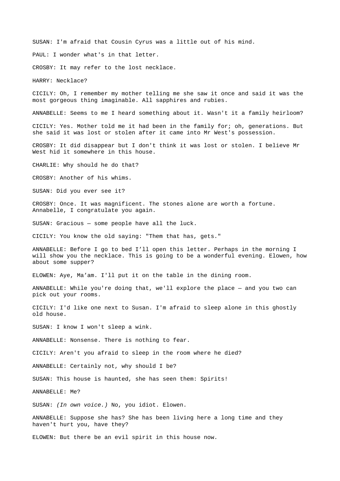SUSAN: I'm afraid that Cousin Cyrus was a little out of his mind.

PAUL: I wonder what's in that letter.

CROSBY: It may refer to the lost necklace.

HARRY: Necklace?

CICILY: Oh, I remember my mother telling me she saw it once and said it was the most gorgeous thing imaginable. All sapphires and rubies.

ANNABELLE: Seems to me I heard something about it. Wasn't it a family heirloom?

CICILY: Yes. Mother told me it had been in the family for; oh, generations. But she said it was lost or stolen after it came into Mr West's possession.

CROSBY: It did disappear but I don't think it was lost or stolen. I believe Mr West hid it somewhere in this house.

CHARLIE: Why should he do that?

CROSBY: Another of his whims.

SUSAN: Did you ever see it?

CROSBY: Once. It was magnificent. The stones alone are worth a fortune. Annabelle, I congratulate you again.

SUSAN: Gracious — some people have all the luck.

CICILY: You know the old saying: "Them that has, gets."

ANNABELLE: Before I go to bed I'll open this letter. Perhaps in the morning I will show you the necklace. This is going to be a wonderful evening. Elowen, how about some supper?

ELOWEN: Aye, Ma'am. I'll put it on the table in the dining room.

ANNABELLE: While you're doing that, we'll explore the place — and you two can pick out your rooms.

CICILY: I'd like one next to Susan. I'm afraid to sleep alone in this ghostly old house.

SUSAN: I know I won't sleep a wink.

ANNABELLE: Nonsense. There is nothing to fear.

CICILY: Aren't you afraid to sleep in the room where he died?

ANNABELLE: Certainly not, why should I be?

SUSAN: This house is haunted, she has seen them: Spirits!

ANNABELLE: Me?

SUSAN: *(In own voice.)* No, you idiot. Elowen.

ANNABELLE: Suppose she has? She has been living here a long time and they haven't hurt you, have they?

ELOWEN: But there be an evil spirit in this house now.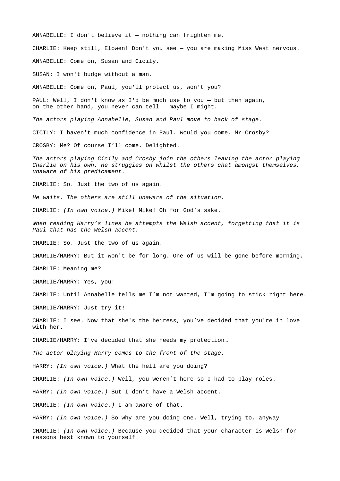ANNABELLE: I don't believe it — nothing can frighten me. CHARLIE: Keep still, Elowen! Don't you see — you are making Miss West nervous. ANNABELLE: Come on, Susan and Cicily. SUSAN: I won't budge without a man. ANNABELLE: Come on, Paul, you'll protect us, won't you? PAUL: Well, I don't know as I'd be much use to you — but then again, on the other hand, you never can tell  $-$  maybe I might. *The actors playing Annabelle, Susan and Paul move to back of stage.* CICILY: I haven't much confidence in Paul. Would you come, Mr Crosby? CROSBY: Me? Of course I'll come. Delighted. *The actors playing Cicily and Crosby join the others leaving the actor playing Charlie on his own. He struggles on whilst the others chat amongst themselves, unaware of his predicament.*  CHARLIE: So. Just the two of us again. *He waits. The others are still unaware of the situation.* CHARLIE: *(In own voice.)* Mike! Mike! Oh for God's sake. *When reading Harry's lines he attempts the Welsh accent, forgetting that it is Paul that has the Welsh accent.* CHARLIE: So. Just the two of us again. CHARLIE/HARRY: But it won't be for long. One of us will be gone before morning. CHARLIE: Meaning me? CHARLIE/HARRY: Yes, you! CHARLIE: Until Annabelle tells me I'm not wanted, I'm going to stick right here. CHARLIE/HARRY: Just try it! CHARLIE: I see. Now that she's the heiress, you've decided that you're in love with her. CHARLIE/HARRY: I've decided that she needs my protection… *The actor playing Harry comes to the front of the stage.* HARRY: *(In own voice.)* What the hell are you doing? CHARLIE: *(In own voice.)* Well, you weren't here so I had to play roles. HARRY: *(In own voice.)* But I don't have a Welsh accent. CHARLIE: *(In own voice.)* I am aware of that. HARRY: *(In own voice.)* So why are you doing one. Well, trying to, anyway. CHARLIE: *(In own voice.)* Because you decided that your character is Welsh for reasons best known to yourself.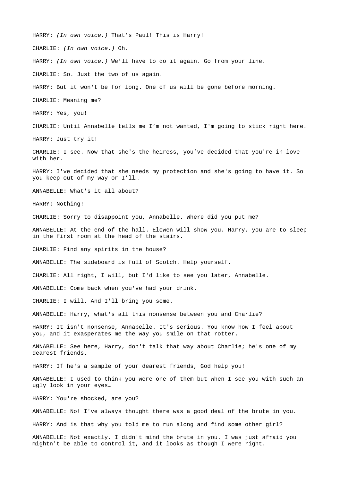HARRY: *(In own voice.)* That's Paul! This is Harry! CHARLIE: *(In own voice.)* Oh. HARRY: *(In own voice.)* We'll have to do it again. Go from your line. CHARLIE: So. Just the two of us again. HARRY: But it won't be for long. One of us will be gone before morning. CHARLIE: Meaning me? HARRY: Yes, you! CHARLIE: Until Annabelle tells me I'm not wanted, I'm going to stick right here. HARRY: Just try it! CHARLIE: I see. Now that she's the heiress, you've decided that you're in love with her. HARRY: I've decided that she needs my protection and she's going to have it. So you keep out of my way or I'll… ANNABELLE: What's it all about? HARRY: Nothing! CHARLIE: Sorry to disappoint you, Annabelle. Where did you put me? ANNABELLE: At the end of the hall. Elowen will show you. Harry, you are to sleep in the first room at the head of the stairs. CHARLIE: Find any spirits in the house? ANNABELLE: The sideboard is full of Scotch. Help yourself. CHARLIE: All right, I will, but I'd like to see you later, Annabelle. ANNABELLE: Come back when you've had your drink. CHARLIE: I will. And I'll bring you some. ANNABELLE: Harry, what's all this nonsense between you and Charlie? HARRY: It isn't nonsense, Annabelle. It's serious. You know how I feel about you, and it exasperates me the way you smile on that rotter. ANNABELLE: See here, Harry, don't talk that way about Charlie; he's one of my dearest friends. HARRY: If he's a sample of your dearest friends, God help you! ANNABELLE: I used to think you were one of them but when I see you with such an ugly look in your eyes… HARRY: You're shocked, are you? ANNABELLE: No! I've always thought there was a good deal of the brute in you. HARRY: And is that why you told me to run along and find some other girl? ANNABELLE: Not exactly. I didn't mind the brute in you. I was just afraid you mightn't be able to control it, and it looks as though I were right.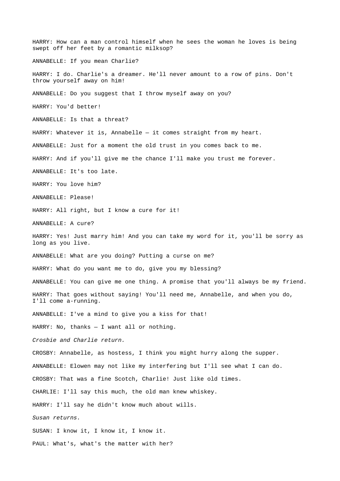HARRY: How can a man control himself when he sees the woman he loves is being swept off her feet by a romantic milksop? ANNABELLE: If you mean Charlie? HARRY: I do. Charlie's a dreamer. He'll never amount to a row of pins. Don't throw yourself away on him! ANNABELLE: Do you suggest that I throw myself away on you? HARRY: You'd better! ANNABELLE: Is that a threat? HARRY: Whatever it is, Annabelle — it comes straight from my heart. ANNABELLE: Just for a moment the old trust in you comes back to me. HARRY: And if you'll give me the chance I'll make you trust me forever. ANNABELLE: It's too late. HARRY: You love him? ANNABELLE: Please! HARRY: All right, but I know a cure for it! ANNABELLE: A cure? HARRY: Yes! Just marry him! And you can take my word for it, you'll be sorry as long as you live. ANNABELLE: What are you doing? Putting a curse on me? HARRY: What do you want me to do, give you my blessing? ANNABELLE: You can give me one thing. A promise that you'll always be my friend. HARRY: That goes without saying! You'll need me, Annabelle, and when you do, I'll come a-running. ANNABELLE: I've a mind to give you a kiss for that! HARRY: No, thanks — I want all or nothing. *Crosbie and Charlie return.* CROSBY: Annabelle, as hostess, I think you might hurry along the supper. ANNABELLE: Elowen may not like my interfering but I'll see what I can do. CROSBY: That was a fine Scotch, Charlie! Just like old times. CHARLIE: I'll say this much, the old man knew whiskey. HARRY: I'll say he didn't know much about wills. *Susan returns.* SUSAN: I know it, I know it, I know it. PAUL: What's, what's the matter with her?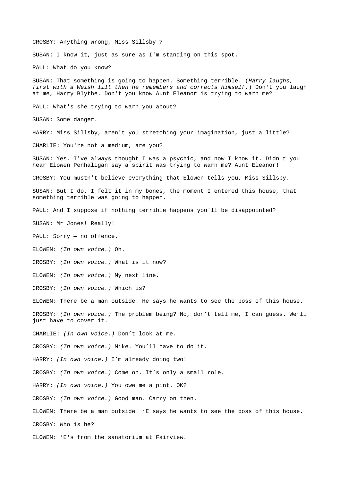CROSBY: Anything wrong, Miss Sillsby ? SUSAN: I know it, just as sure as I'm standing on this spot. PAUL: What do you know? SUSAN: That something is going to happen. Something terrible. (*Harry laughs, first with a Welsh lilt then he remembers and corrects himself.*) Don't you laugh at me, Harry Blythe. Don't you know Aunt Eleanor is trying to warn me? PAUL: What's she trying to warn you about? SUSAN: Some danger. HARRY: Miss Sillsby, aren't you stretching your imagination, just a little? CHARLIE: You're not a medium, are you? SUSAN: Yes. I've always thought I was a psychic, and now I know it. Didn't you hear Elowen Penhaligan say a spirit was trying to warn me? Aunt Eleanor! CROSBY: You mustn't believe everything that Elowen tells you, Miss Sillsby. SUSAN: But I do. I felt it in my bones, the moment I entered this house, that something terrible was going to happen. PAUL: And I suppose if nothing terrible happens you'll be disappointed? SUSAN: Mr Jones! Really! PAUL: Sorry — no offence. ELOWEN: *(In own voice.)* Oh. CROSBY: *(In own voice.)* What is it now? ELOWEN: *(In own voice.)* My next line. CROSBY: *(In own voice.)* Which is? ELOWEN: There be a man outside. He says he wants to see the boss of this house. CROSBY: *(In own voice.)* The problem being? No, don't tell me, I can guess. We'll just have to cover it. CHARLIE: *(In own voice.)* Don't look at me. CROSBY: *(In own voice.)* Mike. You'll have to do it. HARRY: *(In own voice.)* I'm already doing two! CROSBY: *(In own voice.)* Come on. It's only a small role. HARRY: *(In own voice.)* You owe me a pint. OK? CROSBY: *(In own voice.)* Good man. Carry on then. ELOWEN: There be a man outside. 'E says he wants to see the boss of this house. CROSBY: Who is he? ELOWEN: 'E's from the sanatorium at Fairview.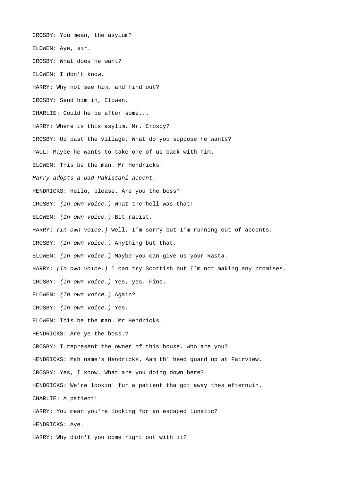CROSBY: You mean, the asylum? ELOWEN: Aye, sir. CROSBY: What does he want? ELOWEN: I don't know. HARRY: Why not see him, and find out? CROSBY: Send him in, Elowen. CHARLIE: Could he be after some... HARRY: Where is this asylum, Mr. Crosby? CROSBY: Up past the village. What do you suppose he wants? PAUL: Maybe he wants to take one of us back with him. ELOWEN: This be the man. Mr Hendricks. *Harry adopts a bad Pakistani accent.* HENDRICKS: Hello, please. Are you the boss? CROSBY: *(In own voice.)* What the hell was that! ELOWEN: *(In own voice.)* Bit racist. HARRY: *(In own voice.)* Well, I'm sorry but I'm running out of accents. CROSBY: *(In own voice.)* Anything but that. ELOWEN: *(In own voice.)* Maybe you can give us your Rasta. HARRY: *(In own voice.)* I can try Scottish but I'm not making any promises. CROSBY: *(In own voice.)* Yes, yes. Fine. ELOWEN: *(In own voice.)* Again? CROSBY: *(In own voice.)* Yes. ELOWEN: This be the man. Mr Hendricks. HENDRICKS: Are ye the boss.? CROSBY: I represent the owner of this house. Who are you? HENDRICKS: Mah name's Hendricks. Aam th' heed guard up at Fairview. CROSBY: Yes, I know. What are you doing down here? HENDRICKS: We're lookin' fur a patient tha got away thes efternuin. CHARLIE: A patient! HARRY: You mean you're looking for an escaped lunatic? HENDRICKS: Aye. HARRY: Why didn't you come right out with it?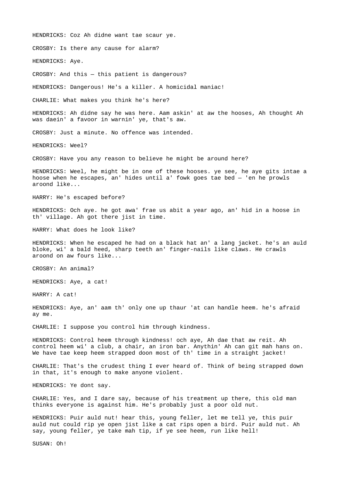HENDRICKS: Coz Ah didne want tae scaur ye.

CROSBY: Is there any cause for alarm?

HENDRICKS: Aye.

CROSBY: And this — this patient is dangerous?

HENDRICKS: Dangerous! He's a killer. A homicidal maniac!

CHARLIE: What makes you think he's here?

HENDRICKS: Ah didne say he was here. Aam askin' at aw the hooses, Ah thought Ah was daein' a favoor in warnin' ye, that's aw.

CROSBY: Just a minute. No offence was intended.

HENDRICKS: Weel?

CROSBY: Have you any reason to believe he might be around here?

HENDRICKS: Weel, he might be in one of these hooses. ye see, he aye gits intae a hoose when he escapes, an' hides until a' fowk goes tae bed — 'en he prowls aroond like...

HARRY: He's escaped before?

HENDRICKS: Och aye. he got awa' frae us abit a year ago, an' hid in a hoose in th' village. Ah got there jist in time.

HARRY: What does he look like?

HENDRICKS: When he escaped he had on a black hat an' a lang jacket. he's an auld bloke, wi' a bald heed, sharp teeth an' finger-nails like claws. He crawls aroond on aw fours like...

CROSBY: An animal?

HENDRICKS: Aye, a cat!

HARRY: A cat!

HENDRICKS: Aye, an' aam th' only one up thaur 'at can handle heem. he's afraid ay me.

CHARLIE: I suppose you control him through kindness.

HENDRICKS: Control heem through kindness! och aye, Ah dae that aw reit. Ah control heem wi' a club, a chair, an iron bar. Anythin' Ah can git mah hans on. We have tae keep heem strapped doon most of th' time in a straight jacket!

CHARLIE: That's the crudest thing I ever heard of. Think of being strapped down in that, it's enough to make anyone violent.

HENDRICKS: Ye dont say.

CHARLIE: Yes, and I dare say, because of his treatment up there, this old man thinks everyone is against him. He's probably just a poor old nut.

HENDRICKS: Puir auld nut! hear this, young feller, let me tell ye, this puir auld nut could rip ye open jist like a cat rips open a bird. Puir auld nut. Ah say, young feller, ye take mah tip, if ye see heem, run like hell!

SUSAN: Oh!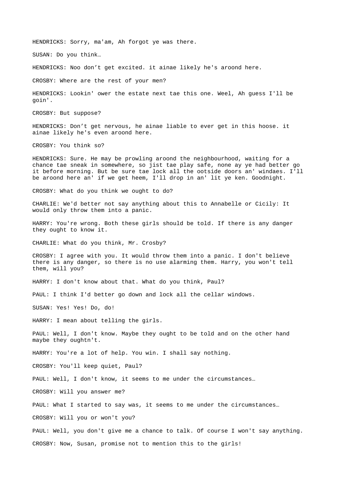HENDRICKS: Sorry, ma'am, Ah forgot ye was there.

SUSAN: Do you think…

HENDRICKS: Noo don't get excited. it ainae likely he's aroond here.

CROSBY: Where are the rest of your men?

HENDRICKS: Lookin' ower the estate next tae this one. Weel, Ah guess I'll be goin'.

CROSBY: But suppose?

HENDRICKS: Don't get nervous, he ainae liable to ever get in this hoose. it ainae likely he's even aroond here.

CROSBY: You think so?

HENDRICKS: Sure. He may be prowling aroond the neighbourhood, waiting for a chance tae sneak in somewhere, so jist tae play safe, none ay ye had better go it before morning. But be sure tae lock all the ootside doors an' windaes. I'll be aroond here an' if we get heem, I'll drop in an' lit ye ken. Goodnight.

CROSBY: What do you think we ought to do?

CHARLIE: We'd better not say anything about this to Annabelle or Cicily: It would only throw them into a panic.

HARRY: You're wrong. Both these girls should be told. If there is any danger they ought to know it.

CHARLIE: What do you think, Mr. Crosby?

CROSBY: I agree with you. It would throw them into a panic. I don't believe there is any danger, so there is no use alarming them. Harry, you won't tell them, will you?

HARRY: I don't know about that. What do you think, Paul?

PAUL: I think I'd better go down and lock all the cellar windows.

SUSAN: Yes! Yes! Do, do!

HARRY: I mean about telling the girls.

PAUL: Well, I don't know. Maybe they ought to be told and on the other hand maybe they oughtn't.

HARRY: You're a lot of help. You win. I shall say nothing.

CROSBY: You'll keep quiet, Paul?

PAUL: Well, I don't know, it seems to me under the circumstances…

CROSBY: Will you answer me?

PAUL: What I started to say was, it seems to me under the circumstances...

CROSBY: Will you or won't you?

PAUL: Well, you don't give me a chance to talk. Of course I won't say anything. CROSBY: Now, Susan, promise not to mention this to the girls!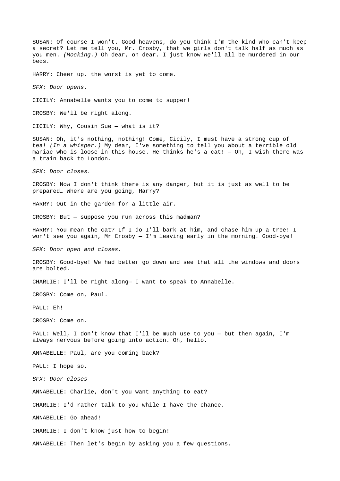SUSAN: Of course I won't. Good heavens, do you think I'm the kind who can't keep a secret? Let me tell you, Mr. Crosby, that we girls don't talk half as much as you men. *(Mocking.)* Oh dear, oh dear. I just know we'll all be murdered in our beds. HARRY: Cheer up, the worst is yet to come. *SFX: Door opens.* CICILY: Annabelle wants you to come to supper! CROSBY: We'll be right along. CICILY: Why, Cousin Sue — what is it? SUSAN: Oh, it's nothing, nothing! Come, Cicily, I must have a strong cup of tea! *(In a whisper.)* My dear, I've something to tell you about a terrible old maniac who is loose in this house. He thinks he's a cat! — Oh, I wish there was a train back to London.

*SFX: Door closes.*

CROSBY: Now I don't think there is any danger, but it is just as well to be prepared… Where are you going, Harry?

HARRY: Out in the garden for a little air.

CROSBY: But — suppose you run across this madman?

HARRY: You mean the cat? If I do I'll bark at him, and chase him up a tree! I won't see you again, Mr Crosby  $-$  I'm leaving early in the morning. Good-bye!

*SFX: Door open and closes.*

CROSBY: Good-bye! We had better go down and see that all the windows and doors are bolted.

CHARLIE: I'll be right along— I want to speak to Annabelle.

CROSBY: Come on, Paul.

PAUL: Eh!

CROSBY: Come on.

PAUL: Well, I don't know that I'll be much use to you - but then again, I'm always nervous before going into action. Oh, hello.

ANNABELLE: Paul, are you coming back?

PAUL: I hope so.

*SFX: Door closes*

ANNABELLE: Charlie, don't you want anything to eat?

CHARLIE: I'd rather talk to you while I have the chance.

ANNABELLE: Go ahead!

CHARLIE: I don't know just how to begin!

ANNABELLE: Then let's begin by asking you a few questions.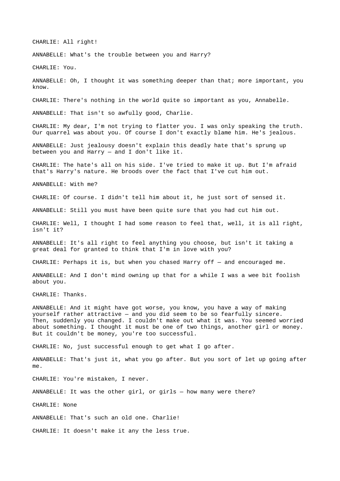CHARLIE: All right!

ANNABELLE: What's the trouble between you and Harry?

CHARLIE: You.

ANNABELLE: Oh, I thought it was something deeper than that; more important, you know.

CHARLIE: There's nothing in the world quite so important as you, Annabelle.

ANNABELLE: That isn't so awfully good, Charlie.

CHARLIE: My dear, I'm not trying to flatter you. I was only speaking the truth. Our quarrel was about you. Of course I don't exactly blame him. He's jealous.

ANNABELLE: Just jealousy doesn't explain this deadly hate that's sprung up between you and Harry — and I don't like it.

CHARLIE: The hate's all on his side. I've tried to make it up. But I'm afraid that's Harry's nature. He broods over the fact that I've cut him out.

ANNABELLE: With me?

CHARLIE: Of course. I didn't tell him about it, he just sort of sensed it.

ANNABELLE: Still you must have been quite sure that you had cut him out.

CHARLIE: Well, I thought I had some reason to feel that, well, it is all right, isn't it?

ANNABELLE: It's all right to feel anything you choose, but isn't it taking a great deal for granted to think that I'm in love with you?

CHARLIE: Perhaps it is, but when you chased Harry off — and encouraged me.

ANNABELLE: And I don't mind owning up that for a while I was a wee bit foolish about you.

CHARLIE: Thanks.

ANNABELLE: And it might have got worse, you know, you have a way of making yourself rather attractive — and you did seem to be so fearfully sincere. Then, suddenly you changed. I couldn't make out what it was. You seemed worried about something. I thought it must be one of two things, another girl or money. But it couldn't be money, you're too successful.

CHARLIE: No, just successful enough to get what I go after.

ANNABELLE: That's just it, what you go after. But you sort of let up going after me.

CHARLIE: You're mistaken, I never.

ANNABELLE: It was the other girl, or girls — how many were there?

CHARLIE: None

ANNABELLE: That's such an old one. Charlie!

CHARLIE: It doesn't make it any the less true.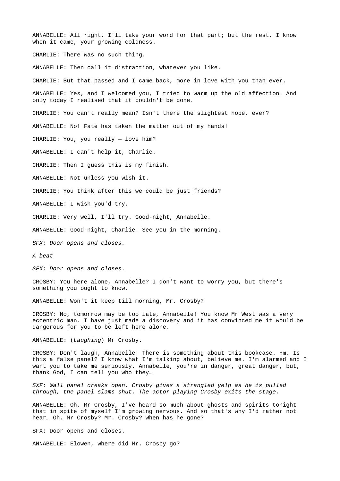ANNABELLE: All right, I'll take your word for that part; but the rest, I know when it came, your growing coldness. CHARLIE: There was no such thing. ANNABELLE: Then call it distraction, whatever you like. CHARLIE: But that passed and I came back, more in love with you than ever. ANNABELLE: Yes, and I welcomed you, I tried to warm up the old affection. And only today I realised that it couldn't be done. CHARLIE: You can't really mean? Isn't there the slightest hope, ever? ANNABELLE: No! Fate has taken the matter out of my hands! CHARLIE: You, you really — love him? ANNABELLE: I can't help it, Charlie. CHARLIE: Then I guess this is my finish. ANNABELLE: Not unless you wish it. CHARLIE: You think after this we could be just friends? ANNABELLE: I wish you'd try. CHARLIE: Very well, I'll try. Good-night, Annabelle. ANNABELLE: Good-night, Charlie. See you in the morning. *SFX: Door opens and closes. A beat*

*SFX: Door opens and closes.*

CROSBY: You here alone, Annabelle? I don't want to worry you, but there's something you ought to know.

ANNABELLE: Won't it keep till morning, Mr. Crosby?

CROSBY: No, tomorrow may be too late, Annabelle! You know Mr West was a very eccentric man. I have just made a discovery and it has convinced me it would be dangerous for you to be left here alone.

ANNABELLE: (*Laughing*) Mr Crosby.

CROSBY: Don't laugh, Annabelle! There is something about this bookcase. Hm. Is this a false panel? I know what I'm talking about, believe me. I'm alarmed and I want you to take me seriously. Annabelle, you're in danger, great danger, but, thank God, I can tell you who they…

*SXF: Wall panel creaks open. Crosby gives a strangled yelp as he is pulled through, the panel slams shut. The actor playing Crosby exits the stage.*

ANNABELLE: Oh, Mr Crosby, I've heard so much about ghosts and spirits tonight that in spite of myself I'm growing nervous. And so that's why I'd rather not hear… Oh. Mr Crosby? Mr. Crosby? When has he gone?

SFX: Door opens and closes.

ANNABELLE: Elowen, where did Mr. Crosby go?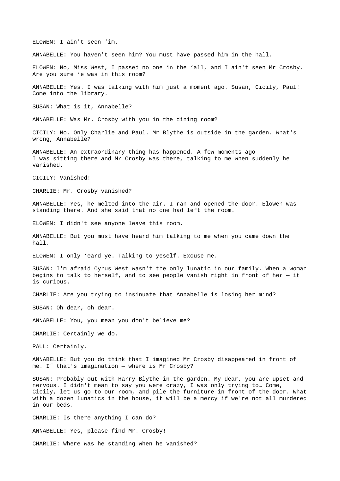ELOWEN: I ain't seen 'im.

ANNABELLE: You haven't seen him? You must have passed him in the hall.

ELOWEN: No, Miss West, I passed no one in the 'all, and I ain't seen Mr Crosby. Are you sure 'e was in this room?

ANNABELLE: Yes. I was talking with him just a moment ago. Susan, Cicily, Paul! Come into the library.

SUSAN: What is it, Annabelle?

ANNABELLE: Was Mr. Crosby with you in the dining room?

CICILY: No. Only Charlie and Paul. Mr Blythe is outside in the garden. What's wrong, Annabelle?

ANNABELLE: An extraordinary thing has happened. A few moments ago I was sitting there and Mr Crosby was there, talking to me when suddenly he vanished.

CICILY: Vanished!

CHARLIE: Mr. Crosby vanished?

ANNABELLE: Yes, he melted into the air. I ran and opened the door. Elowen was standing there. And she said that no one had left the room.

ELOWEN: I didn't see anyone leave this room.

ANNABELLE: But you must have heard him talking to me when you came down the hall.

ELOWEN: I only 'eard ye. Talking to yeself. Excuse me.

SUSAN: I'm afraid Cyrus West wasn't the only lunatic in our family. When a woman begins to talk to herself, and to see people vanish right in front of her  $-$  it is curious.

CHARLIE: Are you trying to insinuate that Annabelle is losing her mind?

SUSAN: Oh dear, oh dear.

ANNABELLE: You, you mean you don't believe me?

CHARLIE: Certainly we do.

PAUL: Certainly.

ANNABELLE: But you do think that I imagined Mr Crosby disappeared in front of me. If that's imagination — where is Mr Crosby?

SUSAN: Probably out with Harry Blythe in the garden. My dear, you are upset and nervous. I didn't mean to say you were crazy, I was only trying to… Come, Cicily, let us go to our room, and pile the furniture in front of the door. What with a dozen lunatics in the house, it will be a mercy if we're not all murdered in our beds.

CHARLIE: Is there anything I can do?

ANNABELLE: Yes, please find Mr. Crosby!

CHARLIE: Where was he standing when he vanished?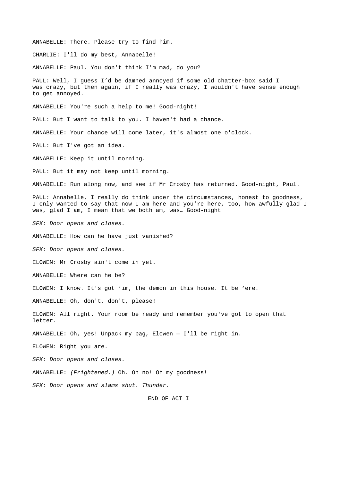ANNABELLE: There. Please try to find him. CHARLIE: I'll do my best, Annabelle! ANNABELLE: Paul. You don't think I'm mad, do you? PAUL: Well, I guess I'd be damned annoyed if some old chatter-box said I was crazy, but then again, if I really was crazy, I wouldn't have sense enough to get annoyed. ANNABELLE: You're such a help to me! Good-night! PAUL: But I want to talk to you. I haven't had a chance. ANNABELLE: Your chance will come later, it's almost one o'clock. PAUL: But I've got an idea. ANNABELLE: Keep it until morning. PAUL: But it may not keep until morning. ANNABELLE: Run along now, and see if Mr Crosby has returned. Good-night, Paul. PAUL: Annabelle, I really do think under the circumstances, honest to goodness, I only wanted to say that now I am here and you're here, too, how awfully glad I was, glad I am, I mean that we both am, was… Good-night *SFX: Door opens and closes.* ANNABELLE: How can he have just vanished? *SFX: Door opens and closes.* ELOWEN: Mr Crosby ain't come in yet. ANNABELLE: Where can he be? ELOWEN: I know. It's got 'im, the demon in this house. It be 'ere. ANNABELLE: Oh, don't, don't, please! ELOWEN: All right. Your room be ready and remember you've got to open that letter. ANNABELLE: Oh, yes! Unpack my bag, Elowen — I'll be right in. ELOWEN: Right you are. *SFX: Door opens and closes.* ANNABELLE: *(Frightened.)* Oh. Oh no! Oh my goodness! *SFX: Door opens and slams shut. Thunder.* END OF ACT I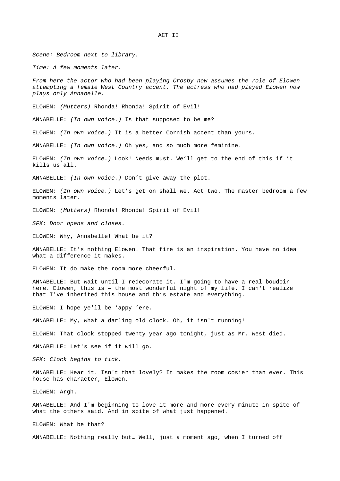*Scene: Bedroom next to library.* 

*Time: A few moments later.* 

*From here the actor who had been playing Crosby now assumes the role of Elowen attempting a female West Country accent. The actress who had played Elowen now plays only Annabelle.* 

ELOWEN: *(Mutters)* Rhonda! Rhonda! Spirit of Evil!

ANNABELLE: *(In own voice.)* Is that supposed to be me?

ELOWEN: *(In own voice.)* It is a better Cornish accent than yours.

ANNABELLE: *(In own voice.)* Oh yes, and so much more feminine.

ELOWEN: *(In own voice.)* Look! Needs must. We'll get to the end of this if it kills us all.

ANNABELLE: *(In own voice.)* Don't give away the plot.

ELOWEN: *(In own voice.)* Let's get on shall we. Act two. The master bedroom a few moments later.

ELOWEN: *(Mutters)* Rhonda! Rhonda! Spirit of Evil!

*SFX: Door opens and closes.*

ELOWEN: Why, Annabelle! What be it?

ANNABELLE: It's nothing Elowen. That fire is an inspiration. You have no idea what a difference it makes.

ELOWEN: It do make the room more cheerful.

ANNABELLE: But wait until I redecorate it. I'm going to have a real boudoir here. Elowen, this is - the most wonderful night of my life. I can't realize that I've inherited this house and this estate and everything.

ELOWEN: I hope ye'll be 'appy 'ere.

ANNABELLE: My, what a darling old clock. Oh, it isn't running!

ELOWEN: That clock stopped twenty year ago tonight, just as Mr. West died.

ANNABELLE: Let's see if it will go.

*SFX: Clock begins to tick.*

ANNABELLE: Hear it. Isn't that lovely? It makes the room cosier than ever. This house has character, Elowen.

ELOWEN: Argh.

ANNABELLE: And I'm beginning to love it more and more every minute in spite of what the others said. And in spite of what just happened.

ELOWEN: What be that?

ANNABELLE: Nothing really but… Well, just a moment ago, when I turned off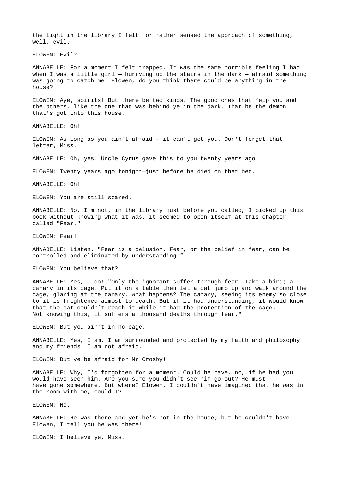the light in the library I felt, or rather sensed the approach of something, well, evil.

ELOWEN: Evil?

ANNABELLE: For a moment I felt trapped. It was the same horrible feeling I had when I was a little girl  $-$  hurrying up the stairs in the dark  $-$  afraid something was going to catch me. Elowen, do you think there could be anything in the house?

ELOWEN: Aye, spirits! But there be two kinds. The good ones that 'elp you and the others, like the one that was behind ye in the dark. That be the demon that's got into this house.

ANNABELLE: Oh!

ELOWEN: As long as you ain't afraid — it can't get you. Don't forget that letter, Miss.

ANNABELLE: Oh, yes. Uncle Cyrus gave this to you twenty years ago!

ELOWEN: Twenty years ago tonight—just before he died on that bed.

ANNABELLE: Oh!

ELOWEN: You are still scared.

ANNABELLE: No, I'm not, in the library just before you called, I picked up this book without knowing what it was, it seemed to open itself at this chapter called "Fear."

ELOWEN: Fear!

ANNABELLE: Listen. "Fear is a delusion. Fear, or the belief in fear, can be controlled and eliminated by understanding."

ELOWEN: You believe that?

ANNABELLE: Yes, I do! "Only the ignorant suffer through fear. Take a bird; a canary in its cage. Put it on a table then let a cat jump up and walk around the cage, glaring at the canary. What happens? The canary, seeing its enemy so close to it is frightened almost to death. But if it had understanding, it would know that the cat couldn't reach it while it had the protection of the cage. Not knowing this, it suffers a thousand deaths through fear."

ELOWEN: But you ain't in no cage.

ANNABELLE: Yes, I am. I am surrounded and protected by my faith and philosophy and my friends. I am not afraid.

ELOWEN: But ye be afraid for Mr Crosby!

ANNABELLE: Why, I'd forgotten for a moment. Could he have, no, if he had you would have seen him. Are you sure you didn't see him go out? He must have gone somewhere. But where? Elowen, I couldn't have imagined that he was in the room with me, could I?

ELOWEN: No.

ANNABELLE: He was there and yet he's not in the house; but he couldn't have… Elowen, I tell you he was there!

ELOWEN: I believe ye, Miss.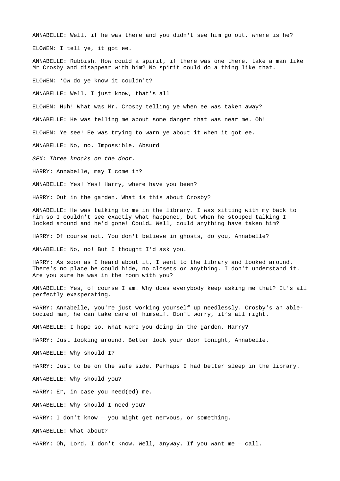ANNABELLE: Well, if he was there and you didn't see him go out, where is he? ELOWEN: I tell ye, it got ee.

ANNABELLE: Rubbish. How could a spirit, if there was one there, take a man like Mr Crosby and disappear with him? No spirit could do a thing like that.

ELOWEN: 'Ow do ye know it couldn't?

ANNABELLE: Well, I just know, that's all

ELOWEN: Huh! What was Mr. Crosby telling ye when ee was taken away?

ANNABELLE: He was telling me about some danger that was near me. Oh!

ELOWEN: Ye see! Ee was trying to warn ye about it when it got ee.

ANNABELLE: No, no. Impossible. Absurd!

*SFX: Three knocks on the door.*

HARRY: Annabelle, may I come in?

ANNABELLE: Yes! Yes! Harry, where have you been?

HARRY: Out in the garden. What is this about Crosby?

ANNABELLE: He was talking to me in the library. I was sitting with my back to him so I couldn't see exactly what happened, but when he stopped talking I looked around and he'd gone! Could… Well, could anything have taken him?

HARRY: Of course not. You don't believe in ghosts, do you, Annabelle?

ANNABELLE: No, no! But I thought I'd ask you.

HARRY: As soon as I heard about it, I went to the library and looked around. There's no place he could hide, no closets or anything. I don't understand it. Are you sure he was in the room with you?

ANNABELLE: Yes, of course I am. Why does everybody keep asking me that? It's all perfectly exasperating.

HARRY: Annabelle, you're just working yourself up needlessly. Crosby's an ablebodied man, he can take care of himself. Don't worry, it's all right.

ANNABELLE: I hope so. What were you doing in the garden, Harry?

HARRY: Just looking around. Better lock your door tonight, Annabelle.

ANNABELLE: Why should I?

HARRY: Just to be on the safe side. Perhaps I had better sleep in the library.

ANNABELLE: Why should you?

HARRY: Er, in case you need(ed) me.

ANNABELLE: Why should I need you?

HARRY: I don't know — you might get nervous, or something.

ANNABELLE: What about?

HARRY: Oh, Lord, I don't know. Well, anyway. If you want me — call.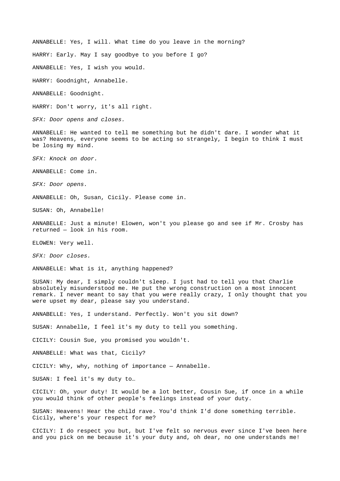ANNABELLE: Yes, I will. What time do you leave in the morning? HARRY: Early. May I say goodbye to you before I go? ANNABELLE: Yes, I wish you would. HARRY: Goodnight, Annabelle.

ANNABELLE: Goodnight.

HARRY: Don't worry, it's all right.

*SFX: Door opens and closes.*

ANNABELLE: He wanted to tell me something but he didn't dare. I wonder what it was? Heavens, everyone seems to be acting so strangely, I begin to think I must be losing my mind.

*SFX: Knock on door.*

ANNABELLE: Come in.

*SFX: Door opens.*

ANNABELLE: Oh, Susan, Cicily. Please come in.

SUSAN: Oh, Annabelle!

ANNABELLE: Just a minute! Elowen, won't you please go and see if Mr. Crosby has returned — look in his room.

ELOWEN: Very well.

*SFX: Door closes.*

ANNABELLE: What is it, anything happened?

SUSAN: My dear, I simply couldn't sleep. I just had to tell you that Charlie absolutely misunderstood me. He put the wrong construction on a most innocent remark. I never meant to say that you were really crazy, I only thought that you were upset my dear, please say you understand.

ANNABELLE: Yes, I understand. Perfectly. Won't you sit down?

SUSAN: Annabelle, I feel it's my duty to tell you something.

CICILY: Cousin Sue, you promised you wouldn't.

ANNABELLE: What was that, Cicily?

CICILY: Why, why, nothing of importance — Annabelle.

SUSAN: I feel it's my duty to…

CICILY: Oh, your duty! It would be a lot better, Cousin Sue, if once in a while you would think of other people's feelings instead of your duty.

SUSAN: Heavens! Hear the child rave. You'd think I'd done something terrible. Cicily, where's your respect for me?

CICILY: I do respect you but, but I've felt so nervous ever since I've been here and you pick on me because it's your duty and, oh dear, no one understands me!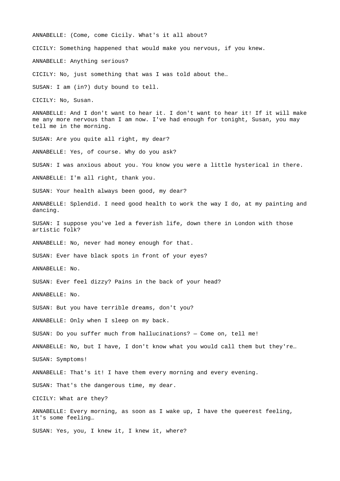ANNABELLE: (Come, come Cicily. What's it all about? CICILY: Something happened that would make you nervous, if you knew. ANNABELLE: Anything serious? CICILY: No, just something that was I was told about the… SUSAN: I am (in?) duty bound to tell. CICILY: No, Susan. ANNABELLE: And I don't want to hear it. I don't want to hear it! If it will make me any more nervous than I am now. I've had enough for tonight, Susan, you may tell me in the morning. SUSAN: Are you quite all right, my dear? ANNABELLE: Yes, of course. Why do you ask? SUSAN: I was anxious about you. You know you were a little hysterical in there. ANNABELLE: I'm all right, thank you. SUSAN: Your health always been good, my dear? ANNABELLE: Splendid. I need good health to work the way I do, at my painting and dancing. SUSAN: I suppose you've led a feverish life, down there in London with those artistic folk? ANNABELLE: No, never had money enough for that. SUSAN: Ever have black spots in front of your eyes? ANNABELLE: No. SUSAN: Ever feel dizzy? Pains in the back of your head? ANNABELLE: No. SUSAN: But you have terrible dreams, don't you? ANNABELLE: Only when I sleep on my back. SUSAN: Do you suffer much from hallucinations? — Come on, tell me! ANNABELLE: No, but I have, I don't know what you would call them but they're… SUSAN: Symptoms! ANNABELLE: That's it! I have them every morning and every evening. SUSAN: That's the dangerous time, my dear. CICILY: What are they? ANNABELLE: Every morning, as soon as I wake up, I have the queerest feeling, it's some feeling… SUSAN: Yes, you, I knew it, I knew it, where?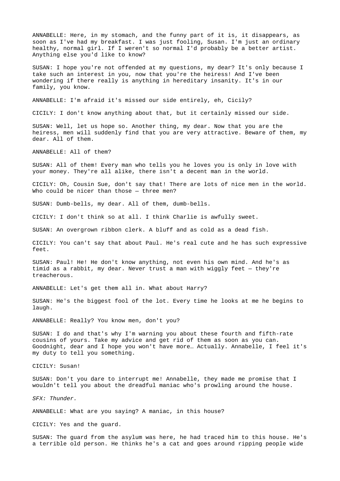ANNABELLE: Here, in my stomach, and the funny part of it is, it disappears, as soon as I've had my breakfast. I was just fooling, Susan. I'm just an ordinary healthy, normal girl. If I weren't so normal I'd probably be a better artist. Anything else you'd like to know?

SUSAN: I hope you're not offended at my questions, my dear? It's only because I take such an interest in you, now that you're the heiress! And I've been wondering if there really is anything in hereditary insanity. It's in our family, you know.

ANNABELLE: I'm afraid it's missed our side entirely, eh, Cicily?

CICILY: I don't know anything about that, but it certainly missed our side.

SUSAN: Well, let us hope so. Another thing, my dear. Now that you are the heiress, men will suddenly find that you are very attractive. Beware of them, my dear. All of them.

ANNABELLE: All of them?

SUSAN: All of them! Every man who tells you he loves you is only in love with your money. They're all alike, there isn't a decent man in the world.

CICILY: Oh, Cousin Sue, don't say that! There are lots of nice men in the world. Who could be nicer than those - three men?

SUSAN: Dumb-bells, my dear. All of them, dumb-bells.

CICILY: I don't think so at all. I think Charlie is awfully sweet.

SUSAN: An overgrown ribbon clerk. A bluff and as cold as a dead fish.

CICILY: You can't say that about Paul. He's real cute and he has such expressive feet.

SUSAN: Paul! He! He don't know anything, not even his own mind. And he's as timid as a rabbit, my dear. Never trust a man with wiggly feet — they're treacherous.

ANNABELLE: Let's get them all in. What about Harry?

SUSAN: He's the biggest fool of the lot. Every time he looks at me he begins to laugh.

ANNABELLE: Really? You know men, don't you?

SUSAN: I do and that's why I'm warning you about these fourth and fifth-rate cousins of yours. Take my advice and get rid of them as soon as you can. Goodnight, dear and I hope you won't have more… Actually. Annabelle, I feel it's my duty to tell you something.

CICILY: Susan!

SUSAN: Don't you dare to interrupt me! Annabelle, they made me promise that I wouldn't tell you about the dreadful maniac who's prowling around the house.

*SFX: Thunder.*

ANNABELLE: What are you saying? A maniac, in this house?

CICILY: Yes and the guard.

SUSAN: The guard from the asylum was here, he had traced him to this house. He's a terrible old person. He thinks he's a cat and goes around ripping people wide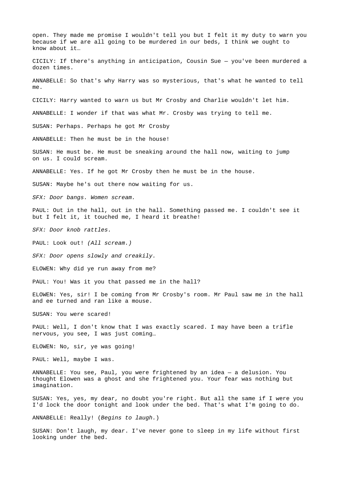open. They made me promise I wouldn't tell you but I felt it my duty to warn you because if we are all going to be murdered in our beds, I think we ought to know about it… CICILY: If there's anything in anticipation, Cousin Sue — you've been murdered a dozen times. ANNABELLE: So that's why Harry was so mysterious, that's what he wanted to tell me. CICILY: Harry wanted to warn us but Mr Crosby and Charlie wouldn't let him. ANNABELLE: I wonder if that was what Mr. Crosby was trying to tell me. SUSAN: Perhaps. Perhaps he got Mr Crosby ANNABELLE: Then he must be in the house! SUSAN: He must be. He must be sneaking around the hall now, waiting to jump on us. I could scream. ANNABELLE: Yes. If he got Mr Crosby then he must be in the house. SUSAN: Maybe he's out there now waiting for us. *SFX: Door bangs. Women scream.* PAUL: Out in the hall, out in the hall. Something passed me. I couldn't see it but I felt it, it touched me, I heard it breathe! *SFX: Door knob rattles.* PAUL: Look out! *(All scream.) SFX: Door opens slowly and creakily.* ELOWEN: Why did ye run away from me? PAUL: You! Was it you that passed me in the hall? ELOWEN: Yes, sir! I be coming from Mr Crosby's room. Mr Paul saw me in the hall and ee turned and ran like a mouse. SUSAN: You were scared! PAUL: Well, I don't know that I was exactly scared. I may have been a trifle nervous, you see, I was just coming… ELOWEN: No, sir, ye was going! PAUL: Well, maybe I was. ANNABELLE: You see, Paul, you were frightened by an idea — a delusion. You thought Elowen was a ghost and she frightened you. Your fear was nothing but imagination. SUSAN: Yes, yes, my dear, no doubt you're right. But all the same if I were you I'd lock the door tonight and look under the bed. That's what I'm going to do. ANNABELLE: Really! (*Begins to laugh.*)

SUSAN: Don't laugh, my dear. I've never gone to sleep in my life without first looking under the bed.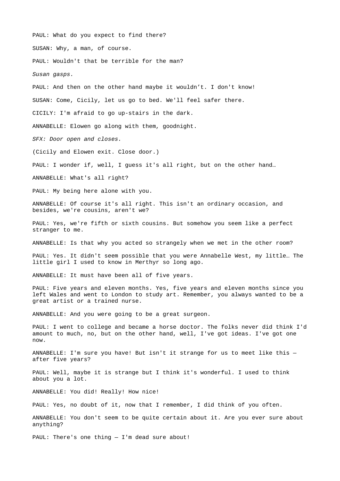PAUL: What do you expect to find there? SUSAN: Why, a man, of course. PAUL: Wouldn't that be terrible for the man? *Susan gasps.* PAUL: And then on the other hand maybe it wouldn't. I don't know! SUSAN: Come, Cicily, let us go to bed. We'll feel safer there. CICILY: I'm afraid to go up-stairs in the dark. ANNABELLE: Elowen go along with them, goodnight. *SFX: Door open and closes.* (Cicily and Elowen exit. Close door.) PAUL: I wonder if, well, I guess it's all right, but on the other hand... ANNABELLE: What's all right? PAUL: My being here alone with you. ANNABELLE: Of course it's all right. This isn't an ordinary occasion, and besides, we're cousins, aren't we? PAUL: Yes, we're fifth or sixth cousins. But somehow you seem like a perfect stranger to me. ANNABELLE: Is that why you acted so strangely when we met in the other room? PAUL: Yes. It didn't seem possible that you were Annabelle West, my little… The little girl I used to know in Merthyr so long ago. ANNABELLE: It must have been all of five years. PAUL: Five years and eleven months. Yes, five years and eleven months since you left Wales and went to London to study art. Remember, you always wanted to be a great artist or a trained nurse. ANNABELLE: And you were going to be a great surgeon. PAUL: I went to college and became a horse doctor. The folks never did think I'd amount to much, no, but on the other hand, well, I've got ideas. I've got one now. ANNABELLE: I'm sure you have! But isn't it strange for us to meet like this after five years? PAUL: Well, maybe it is strange but I think it's wonderful. I used to think about you a lot. ANNABELLE: You did! Really! How nice! PAUL: Yes, no doubt of it, now that I remember, I did think of you often. ANNABELLE: You don't seem to be quite certain about it. Are you ever sure about anything? PAUL: There's one thing  $-$  I'm dead sure about!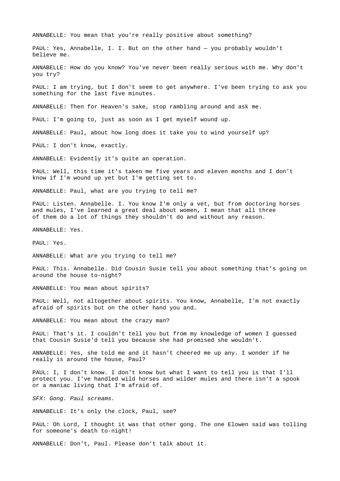ANNABELLE: You mean that you're really positive about something?

PAUL: Yes, Annabelle, I. I. But on the other hand — you probably wouldn't believe me.

ANNABELLE: How do you know? You've never been really serious with me. Why don't you try?

PAUL: I am trying, but I don't seem to get anywhere. I've been trying to ask you something for the last five minutes.

ANNABELLE: Then for Heaven's sake, stop rambling around and ask me.

PAUL: I'm going to, just as soon as I get myself wound up.

ANNABELLE: Paul, about how long does it take you to wind yourself up?

PAUL: I don't know, exactly.

ANNABELLE: Evidently it's quite an operation.

PAUL: Well, this time it's taken me five years and eleven months and I don't know if I'm wound up yet but I'm getting set to.

ANNABELLE: Paul, what are you trying to tell me?

PAUL: Listen. Annabelle. I. You know I'm only a vet, but from doctoring horses and mules, I've learned a great deal about women, I mean that all three of them do a lot of things they shouldn't do and without any reason.

ANNABELLE: Yes.

PAUL: Yes.

ANNABELLE: What are you trying to tell me?

PAUL: This. Annabelle. Did Cousin Susie tell you about something that's going on around the house to-night?

ANNABELLE: You mean about spirits?

PAUL: Well, not altogether about spirits. You know, Annabelle, I'm not exactly afraid of spirits but on the other hand you and…

ANNABELLE: You mean about the crazy man?

PAUL: That's it. I couldn't tell you but from my knowledge of women I guessed that Cousin Susie'd tell you because she had promised she wouldn't.

ANNABELLE: Yes, she told me and it hasn't cheered me up any. I wonder if he really is around the house, Paul?

PAUL: I, I don't know. I don't know but what I want to tell you is that I'll protect you. I've handled wild horses and wilder mules and there isn't a spook or a maniac living that I'm afraid of.

*SFX: Gong. Paul screams.*

ANNABELLE: It's only the clock, Paul, see?

PAUL: Oh Lord, I thought it was that other gong. The one Elowen said was tolling for someone's death to-night!

ANNABELLE: Don't, Paul. Please don't talk about it.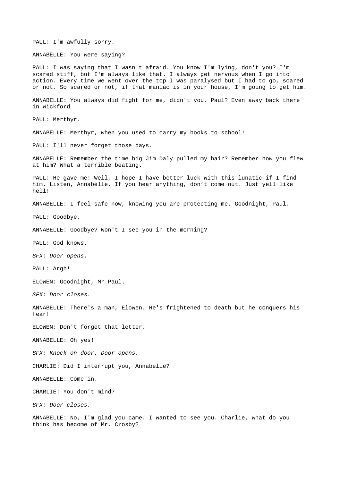PAUL: I'm awfully sorry.

ANNABELLE: You were saying?

PAUL: I was saying that I wasn't afraid. You know I'm lying, don't you? I'm scared stiff, but I'm always like that. I always get nervous when I go into action. Every time we went over the top I was paralysed but I had to go, scared or not. So scared or not, if that maniac is in your house, I'm going to get him.

ANNABELLE: You always did fight for me, didn't you, Paul? Even away back there in Wickford…

PAUL: Merthyr.

ANNABELLE: Merthyr, when you used to carry my books to school!

PAUL: I'll never forget those days.

ANNABELLE: Remember the time big Jim Daly pulled my hair? Remember how you flew at him? What a terrible beating.

PAUL: He gave me! Well, I hope I have better luck with this lunatic if I find him. Listen, Annabelle. If you hear anything, don't come out. Just yell like hell!

ANNABELLE: I feel safe now, knowing you are protecting me. Goodnight, Paul.

PAUL: Goodbye.

ANNABELLE: Goodbye? Won't I see you in the morning?

PAUL: God knows.

*SFX: Door opens.*

PAUL: Argh!

ELOWEN: Goodnight, Mr Paul.

*SFX: Door closes.*

ANNABELLE: There's a man, Elowen. He's frightened to death but he conquers his fear!

ELOWEN: Don't forget that letter.

ANNABELLE: Oh yes!

*SFX: Knock on door. Door opens.*

CHARLIE: Did I interrupt you, Annabelle?

ANNABELLE: Come in.

CHARLIE: You don't mind?

*SFX: Door closes.*

ANNABELLE: No, I'm glad you came. I wanted to see you. Charlie, what do you think has become of Mr. Crosby?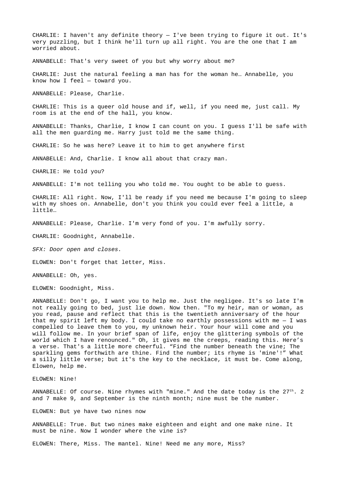CHARLIE: I haven't any definite theory — I've been trying to figure it out. It's very puzzling, but I think he'll turn up all right. You are the one that I am worried about.

ANNABELLE: That's very sweet of you but why worry about me?

CHARLIE: Just the natural feeling a man has for the woman he… Annabelle, you know how I feel — toward you.

ANNABELLE: Please, Charlie.

CHARLIE: This is a queer old house and if, well, if you need me, just call. My room is at the end of the hall, you know.

ANNABELLE: Thanks, Charlie, I know I can count on you. I guess I'll be safe with all the men guarding me. Harry just told me the same thing.

CHARLIE: So he was here? Leave it to him to get anywhere first

ANNABELLE: And, Charlie. I know all about that crazy man.

CHARLIE: He told you?

ANNABELLE: I'm not telling you who told me. You ought to be able to guess.

CHARLIE: All right. Now, I'll be ready if you need me because I'm going to sleep with my shoes on. Annabelle, don't you think you could ever feel a little, a little…

ANNABELLE: Please, Charlie. I'm very fond of you. I'm awfully sorry.

CHARLIE: Goodnight, Annabelle.

*SFX: Door open and closes.*

ELOWEN: Don't forget that letter, Miss.

ANNABELLE: Oh, yes.

ELOWEN: Goodnight, Miss.

ANNABELLE: Don't go, I want you to help me. Just the negligee. It's so late I'm not really going to bed, just lie down. Now then. "To my heir, man or woman, as you read, pause and reflect that this is the twentieth anniversary of the hour that my spirit left my body. I could take no earthly possessions with me  $-$  I was compelled to leave them to you, my unknown heir. Your hour will come and you will follow me. In your brief span of life, enjoy the glittering symbols of the world which I have renounced." Oh, it gives me the creeps, reading this. Here's a verse. That's a little more cheerful. "Find the number beneath the vine; The sparkling gems forthwith are thine. Find the number; its rhyme is 'mine'!" What a silly little verse; but it's the key to the necklace, it must be. Come along, Elowen, help me.

ELOWEN: Nine!

ANNABELLE: Of course. Nine rhymes with "mine." And the date today is the  $27^{th}$ . 2 and 7 make 9, and September is the ninth month; nine must be the number.

ELOWEN: But ye have two nines now

ANNABELLE: True. But two nines make eighteen and eight and one make nine. It must be nine. Now I wonder where the vine is?

ELOWEN: There, Miss. The mantel. Nine! Need me any more, Miss?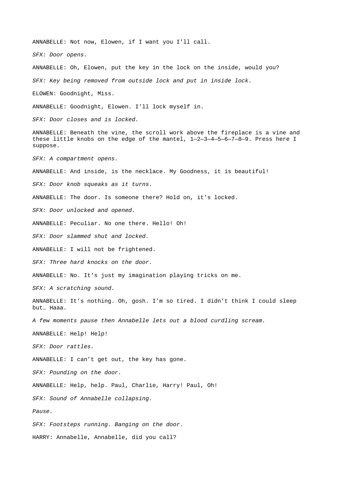ANNABELLE: Not now, Elowen, if I want you I'll call. *SFX: Door opens.* ANNABELLE: Oh, Elowen, put the key in the lock on the inside, would you? *SFX: Key being removed from outside lock and put in inside lock.* ELOWEN: Goodnight, Miss. ANNABELLE: Goodnight, Elowen. I'll lock myself in. *SFX: Door closes and is locked.* ANNABELLE: Beneath the vine, the scroll work above the fireplace is a vine and these little knobs on the edge of the mantel, 1—2—3—4—5—6—7—8—9. Press here I suppose. *SFX: A compartment opens.* ANNABELLE: And inside, is the necklace. My Goodness, it is beautiful! *SFX: Door knob squeaks as it turns.* ANNABELLE: The door. Is someone there? Hold on, it's locked. *SFX: Door unlocked and opened.* ANNABELLE: Peculiar. No one there. Hello! Oh! *SFX: Door slammed shut and locked.* ANNABELLE: I will not be frightened. *SFX: Three hard knocks on the door.* ANNABELLE: No. It's just my imagination playing tricks on me. *SFX: A scratching sound.* ANNABELLE: It's nothing. Oh, gosh. I'm so tired. I didn't think I could sleep but… Haaa. *A few moments pause then Annabelle lets out a blood curdling scream.* ANNABELLE: Help! Help! *SFX: Door rattles.* ANNABELLE: I can't get out, the key has gone. *SFX: Pounding on the door.* ANNABELLE: Help, help. Paul, Charlie, Harry! Paul, Oh! *SFX: Sound of Annabelle collapsing. Pause. SFX: Footsteps running. Banging on the door.* HARRY: Annabelle, Annabelle, did you call?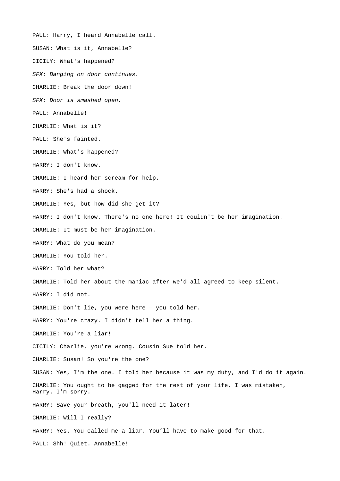PAUL: Harry, I heard Annabelle call. SUSAN: What is it, Annabelle? CICILY: What's happened? *SFX: Banging on door continues.* CHARLIE: Break the door down! *SFX: Door is smashed open.* PAUL: Annabelle! CHARLIE: What is it? PAUL: She's fainted. CHARLIE: What's happened? HARRY: I don't know. CHARLIE: I heard her scream for help. HARRY: She's had a shock. CHARLIE: Yes, but how did she get it? HARRY: I don't know. There's no one here! It couldn't be her imagination. CHARLIE: It must be her imagination. HARRY: What do you mean? CHARLIE: You told her. HARRY: Told her what? CHARLIE: Told her about the maniac after we'd all agreed to keep silent. HARRY: I did not. CHARLIE: Don't lie, you were here — you told her. HARRY: You're crazy. I didn't tell her a thing. CHARLIE: You're a liar! CICILY: Charlie, you're wrong. Cousin Sue told her. CHARLIE: Susan! So you're the one? SUSAN: Yes, I'm the one. I told her because it was my duty, and I'd do it again. CHARLIE: You ought to be gagged for the rest of your life. I was mistaken, Harry. I'm sorry. HARRY: Save your breath, you'll need it later! CHARLIE: Will I really? HARRY: Yes. You called me a liar. You'll have to make good for that. PAUL: Shh! Quiet. Annabelle!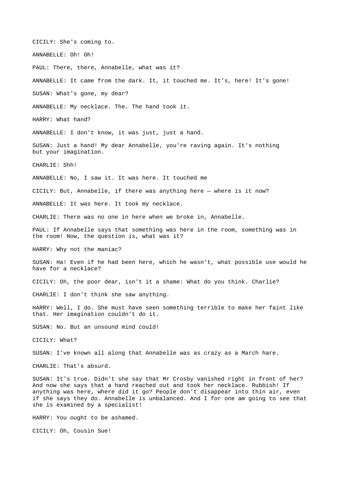CICILY: She's coming to.

ANNABELLE: Oh! Oh!

PAUL: There, there, Annabelle, what was it?

ANNABELLE: It came from the dark. It, it touched me. It's, here! It's gone!

SUSAN: What's gone, my dear?

ANNABELLE: My necklace. The… The hand took it.

HARRY: What hand?

ANNABELLE: I don't know, it was just, just a hand.

SUSAN: Just a hand! My dear Annabelle, you're raving again. It's nothing but your imagination.

CHARLIE: Shh!

ANNABELLE: No, I saw it. It was here. It touched me

CICILY: But, Annabelle, if there was anything here — where is it now?

ANNABELLE: It was here. It took my necklace.

CHARLIE: There was no one in here when we broke in, Annabelle.

PAUL: If Annabelle says that something was here in the room, something was in the room! Now, the question is, what was it?

HARRY: Why not the maniac?

SUSAN: Ha! Even if he had been here, which he wasn't, what possible use would he have for a necklace?

CICILY: Oh, the poor dear, isn't it a shame: What do you think. Charlie?

CHARLIE: I don't think she saw anything.

HARRY: Well, I do. She must have seen something terrible to make her faint like that. Her imagination couldn't do it.

SUSAN: No. But an unsound mind could!

CICILY: What?

SUSAN: I've known all along that Annabelle was as crazy as a March hare.

CHARLIE: That's absurd.

SUSAN: It's true. Didn't she say that Mr Crosby vanished right in front of her? And now she says that a hand reached out and took her necklace. Rubbish! If anything was here, where did it go? People don't disappear into thin air, even if she says they do. Annabelle is unbalanced. And I for one am going to see that she is examined by a specialist!

HARRY: You ought to be ashamed.

CICILY: Oh, Cousin Sue!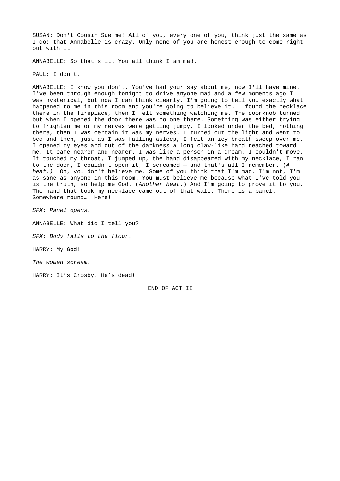SUSAN: Don't Cousin Sue me! All of you, every one of you, think just the same as I do: that Annabelle is crazy. Only none of you are honest enough to come right out with it.

ANNABELLE: So that's it. You all think I am mad.

PAUL: I don't.

ANNABELLE: I know you don't. You've had your say about me, now I'll have mine. I've been through enough tonight to drive anyone mad and a few moments ago I was hysterical, but now I can think clearly. I'm going to tell you exactly what happened to me in this room and you're going to believe it. I found the necklace there in the fireplace, then I felt something watching me. The doorknob turned but when I opened the door there was no one there. Something was either trying to frighten me or my nerves were getting jumpy. I looked under the bed, nothing there, then I was certain it was my nerves. I turned out the light and went to bed and then, just as I was falling asleep, I felt an icy breath sweep over me. I opened my eyes and out of the darkness a long claw-like hand reached toward me. It came nearer and nearer. I was like a person in a dream. I couldn't move. It touched my throat, I jumped up, the hand disappeared with my necklace, I ran to the door, I couldn't open it, I screamed — and that's all I remember. (*A beat.)* Oh, you don't believe me. Some of you think that I'm mad. I'm not, I'm as sane as anyone in this room. You must believe me because what I've told you is the truth, so help me God. (*Another beat.*) And I'm going to prove it to you. The hand that took my necklace came out of that wall. There is a panel. Somewhere round…. Here!

*SFX: Panel opens.*

ANNABELLE: What did I tell you?

*SFX: Body falls to the floor.*

HARRY: My God!

*The women scream.*

HARRY: It's Crosby. He's dead!

END OF ACT II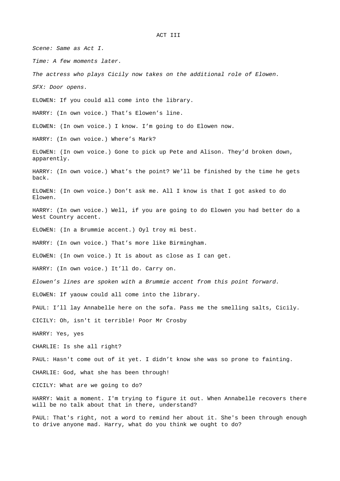ACT III

*Scene: Same as Act I. Time: A few moments later. The actress who plays Cicily now takes on the additional role of Elowen. SFX: Door opens.* ELOWEN: If you could all come into the library. HARRY: (In own voice.) That's Elowen's line. ELOWEN: (In own voice.) I know. I'm going to do Elowen now. HARRY: (In own voice.) Where's Mark? ELOWEN: (In own voice.) Gone to pick up Pete and Alison. They'd broken down, apparently. HARRY: (In own voice.) What's the point? We'll be finished by the time he gets back. ELOWEN: (In own voice.) Don't ask me. All I know is that I got asked to do Elowen. HARRY: (In own voice.) Well, if you are going to do Elowen you had better do a West Country accent. ELOWEN: (In a Brummie accent.) Oyl troy mi best. HARRY: (In own voice.) That's more like Birmingham. ELOWEN: (In own voice.) It is about as close as I can get. HARRY: (In own voice.) It'll do. Carry on. *Elowen's lines are spoken with a Brummie accent from this point forward.* ELOWEN: If yaouw could all come into the library. PAUL: I'll lay Annabelle here on the sofa. Pass me the smelling salts, Cicily. CICILY: Oh, isn't it terrible! Poor Mr Crosby HARRY: Yes, yes CHARLIE: Is she all right? PAUL: Hasn't come out of it yet. I didn't know she was so prone to fainting. CHARLIE: God, what she has been through! CICILY: What are we going to do? HARRY: Wait a moment. I'm trying to figure it out. When Annabelle recovers there will be no talk about that in there, understand? PAUL: That's right, not a word to remind her about it. She's been through enough

to drive anyone mad. Harry, what do you think we ought to do?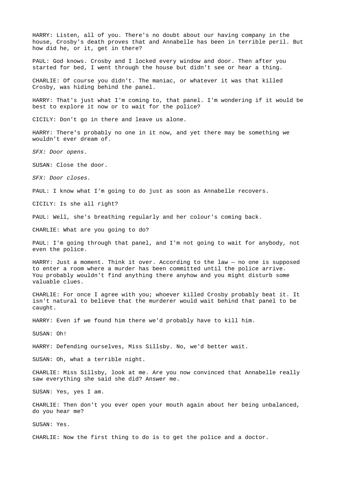HARRY: Listen, all of you. There's no doubt about our having company in the house, Crosby's death proves that and Annabelle has been in terrible peril. But how did he, or it, get in there?

PAUL: God knows. Crosby and I locked every window and door. Then after you started for bed, I went through the house but didn't see or hear a thing.

CHARLIE: Of course you didn't. The maniac, or whatever it was that killed Crosby, was hiding behind the panel.

HARRY: That's just what I'm coming to, that panel. I'm wondering if it would be best to explore it now or to wait for the police?

CICILY: Don't go in there and leave us alone.

HARRY: There's probably no one in it now, and yet there may be something we wouldn't ever dream of.

*SFX: Door opens.*

SUSAN: Close the door.

*SFX: Door closes.*

PAUL: I know what I'm going to do just as soon as Annabelle recovers.

CICILY: Is she all right?

PAUL: Well, she's breathing regularly and her colour's coming back.

CHARLIE: What are you going to do?

PAUL: I'm going through that panel, and I'm not going to wait for anybody, not even the police.

HARRY: Just a moment. Think it over. According to the law — no one is supposed to enter a room where a murder has been committed until the police arrive. You probably wouldn't find anything there anyhow and you might disturb some valuable clues.

CHARLIE: For once I agree with you; whoever killed Crosby probably beat it. It isn't natural to believe that the murderer would wait behind that panel to be caught.

HARRY: Even if we found him there we'd probably have to kill him.

SUSAN: Oh!

HARRY: Defending ourselves, Miss Sillsby. No, we'd better wait.

SUSAN: Oh, what a terrible night.

CHARLIE: Miss Sillsby, look at me. Are you now convinced that Annabelle really saw everything she said she did? Answer me.

SUSAN: Yes, yes I am.

CHARLIE: Then don't you ever open your mouth again about her being unbalanced, do you hear me?

SUSAN: Yes.

CHARLIE: Now the first thing to do is to get the police and a doctor.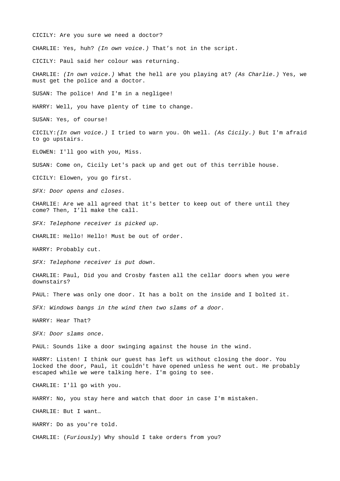CICILY: Are you sure we need a doctor?

CHARLIE: Yes, huh? *(In own voice.)* That's not in the script.

CICILY: Paul said her colour was returning.

CHARLIE: *(In own voice.)* What the hell are you playing at? *(As Charlie.)* Yes, we must get the police and a doctor.

SUSAN: The police! And I'm in a negligee!

HARRY: Well, you have plenty of time to change.

SUSAN: Yes, of course!

CICILY:*(In own voice.)* I tried to warn you. Oh well. *(As Cicily.)* But I'm afraid to go upstairs.

ELOWEN: I'll goo with you, Miss.

SUSAN: Come on, Cicily Let's pack up and get out of this terrible house.

CICILY: Elowen, you go first.

*SFX: Door opens and closes.*

CHARLIE: Are we all agreed that it's better to keep out of there until they come? Then, I'll make the call.

*SFX: Telephone receiver is picked up.*

CHARLIE: Hello! Hello! Must be out of order.

HARRY: Probably cut.

*SFX: Telephone receiver is put down.*

CHARLIE: Paul, Did you and Crosby fasten all the cellar doors when you were downstairs?

PAUL: There was only one door. It has a bolt on the inside and I bolted it.

*SFX: Windows bangs in the wind then two slams of a door.*

HARRY: Hear That?

*SFX: Door slams once.*

PAUL: Sounds like a door swinging against the house in the wind.

HARRY: Listen! I think our guest has left us without closing the door. You locked the door, Paul, it couldn't have opened unless he went out. He probably escaped while we were talking here. I'm going to see.

CHARLIE: I'll go with you.

HARRY: No, you stay here and watch that door in case I'm mistaken.

CHARLIE: But I want…

HARRY: Do as you're told.

CHARLIE: (*Furiously*) Why should I take orders from you?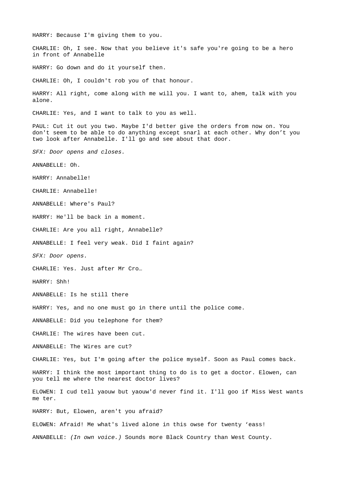HARRY: Because I'm giving them to you.

CHARLIE: Oh, I see. Now that you believe it's safe you're going to be a hero in front of Annabelle

HARRY: Go down and do it yourself then.

CHARLIE: Oh, I couldn't rob you of that honour.

HARRY: All right, come along with me will you. I want to, ahem, talk with you alone.

CHARLIE: Yes, and I want to talk to you as well.

PAUL: Cut it out you two. Maybe I'd better give the orders from now on. You don't seem to be able to do anything except snarl at each other. Why don't you two look after Annabelle. I'll go and see about that door.

*SFX: Door opens and closes.*

ANNABELLE: Oh.

HARRY: Annabelle!

CHARLIE: Annabelle!

ANNABELLE: Where's Paul?

HARRY: He'll be back in a moment.

CHARLIE: Are you all right, Annabelle?

ANNABELLE: I feel very weak. Did I faint again?

*SFX: Door opens.*

CHARLIE: Yes. Just after Mr Cro…

HARRY: Shh!

ANNABELLE: Is he still there

HARRY: Yes, and no one must go in there until the police come.

ANNABELLE: Did you telephone for them?

CHARLIE: The wires have been cut.

ANNABELLE: The Wires are cut?

CHARLIE: Yes, but I'm going after the police myself. Soon as Paul comes back.

HARRY: I think the most important thing to do is to get a doctor. Elowen, can you tell me where the nearest doctor lives?

ELOWEN: I cud tell yaouw but yaouw'd never find it. I'll goo if Miss West wants me ter.

HARRY: But, Elowen, aren't you afraid?

ELOWEN: Afraid! Me what's lived alone in this owse for twenty 'eass!

ANNABELLE: *(In own voice.)* Sounds more Black Country than West County.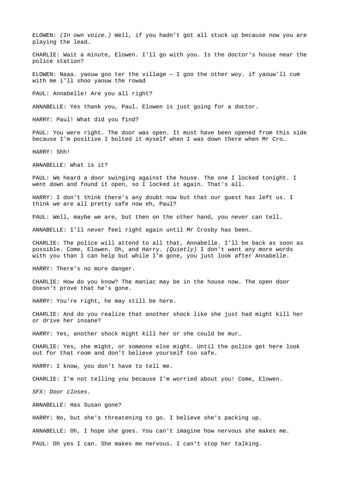ELOWEN: *(In own voice.)* Well, if you hadn't got all stuck up because now you are playing the lead…

CHARLIE: Wait a minute, Elowen. I'll go with you. Is the doctor's house near the police station?

ELOWEN: Naaa. yaouw goo ter the village  $-$  I goo the other woy. if yaouw'll cum with me i'll shoo yaouw the rowad

PAUL: Annabelle! Are you all right?

ANNABELLE: Yes thank you, Paul. Elowen is just going for a doctor.

HARRY: Paul! What did you find?

PAUL: You were right. The door was open. It must have been opened from this side because I'm positive I bolted it myself when I was down there when Mr Cro…

HARRY: Shh!

ANNABELLE: What is it?

PAUL: We heard a door swinging against the house. The one I locked tonight. I went down and found it open, so I locked it again. That's all.

HARRY: I don't think there's any doubt now but that our guest has left us. I think we are all pretty safe now eh, Paul?

PAUL: Well, maybe we are, but then on the other hand, you never can tell.

ANNABELLE: I'll never feel right again until Mr Crosby has been…

CHARLIE: The police will attend to all that, Annabelle. I'll be back as soon as possible. Come, Elowen. Oh, and Harry. *(Quietly)* I don't want any more words with you than I can help but while I'm gone, you just look after Annabelle.

HARRY: There's no more danger.

CHARLIE: How do you know? The maniac may be in the house now. The open door doesn't prove that he's gone.

HARRY: You're right, he may still be here.

CHARLIE: And do you realize that another shock like she just had might kill her or drive her insane?

HARRY: Yes, another shock might kill her or she could be mur…

CHARLIE: Yes, she might, or someone else might. Until the police get here look out for that room and don't believe yourself too safe.

HARRY: I know, you don't have to tell me.

CHARLIE: I'm not telling you because I'm worried about you! Come, Elowen.

*SFX: Door closes.*

ANNABELLE: Has Susan gone?

HARRY: No, but she's threatening to go. I believe she's packing up.

ANNABELLE: Oh, I hope she goes. You can't imagine how nervous she makes me.

PAUL: Oh yes I can. She makes me nervous. I can't stop her talking.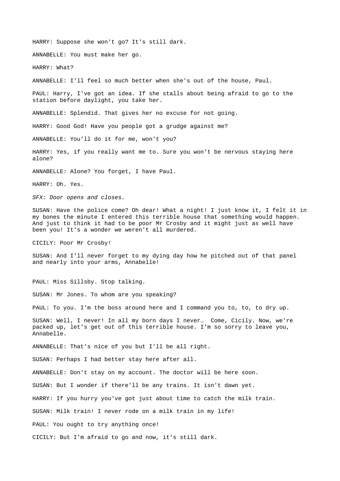HARRY: Suppose she won't go? It's still dark.

ANNABELLE: You must make her go.

HARRY: What?

ANNABELLE: I'll feel so much better when she's out of the house, Paul.

PAUL: Harry, I've got an idea. If she stalls about being afraid to go to the station before daylight, you take her.

ANNABELLE: Splendid. That gives her no excuse for not going.

HARRY: Good God! Have you people got a grudge against me?

ANNABELLE: You'll do it for me, won't you?

HARRY: Yes, if you really want me to. Sure you won't be nervous staying here alone?

ANNABELLE: Alone? You forget, I have Paul.

HARRY: Oh. Yes.

*SFX: Door opens and closes.*

SUSAN: Have the police come? Oh dear! What a night! I just know it, I felt it in my bones the minute I entered this terrible house that something would happen. And just to think it had to be poor Mr Crosby and it might just as well have been you! It's a wonder we weren't all murdered.

CICILY: Poor Mr Crosby!

SUSAN: And I'll never forget to my dying day how he pitched out of that panel and nearly into your arms, Annabelle!

PAUL: Miss Sillsby. Stop talking.

SUSAN: Mr Jones. To whom are you speaking?

PAUL: To you. I'm the boss around here and I command you to, to, to dry up.

SUSAN: Well, I never! In all my born days I never… Come, Cicily. Now, we're packed up, let's get out of this terrible house. I'm so sorry to leave you, Annabelle.

ANNABELLE: That's nice of you but I'll be all right.

SUSAN: Perhaps I had better stay here after all.

ANNABELLE: Don't stay on my account. The doctor will be here soon.

SUSAN: But I wonder if there'll be any trains. It isn't dawn yet.

HARRY: If you hurry you've got just about time to catch the milk train.

SUSAN: Milk train! I never rode on a milk train in my life!

PAUL: You ought to try anything once!

CICILY: But I'm afraid to go and now, it's still dark.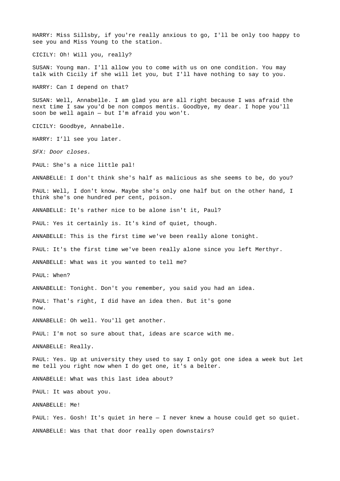HARRY: Miss Sillsby, if you're really anxious to go, I'll be only too happy to see you and Miss Young to the station.

CICILY: Oh! Will you, really?

SUSAN: Young man. I'll allow you to come with us on one condition. You may talk with Cicily if she will let you, but I'll have nothing to say to you.

HARRY: Can I depend on that?

SUSAN: Well, Annabelle. I am glad you are all right because I was afraid the next time I saw you'd be non compos mentis. Goodbye, my dear. I hope you'll soon be well again  $-$  but I'm afraid you won't.

CICILY: Goodbye, Annabelle.

HARRY: I'll see you later.

*SFX: Door closes.*

PAUL: She's a nice little pal!

ANNABELLE: I don't think she's half as malicious as she seems to be, do you?

PAUL: Well, I don't know. Maybe she's only one half but on the other hand, I think she's one hundred per cent, poison.

ANNABELLE: It's rather nice to be alone isn't it, Paul?

PAUL: Yes it certainly is. It's kind of quiet, though.

ANNABELLE: This is the first time we've been really alone tonight.

PAUL: It's the first time we've been really alone since you left Merthyr.

ANNABELLE: What was it you wanted to tell me?

PAUL: When?

ANNABELLE: Tonight. Don't you remember, you said you had an idea.

PAUL: That's right, I did have an idea then. But it's gone now.

ANNABELLE: Oh well. You'll get another.

PAUL: I'm not so sure about that, ideas are scarce with me.

ANNABELLE: Really.

PAUL: Yes. Up at university they used to say I only got one idea a week but let me tell you right now when I do get one, it's a belter.

ANNABELLE: What was this last idea about?

PAUL: It was about you.

ANNABELLE: Me!

PAUL: Yes. Gosh! It's quiet in here - I never knew a house could get so quiet. ANNABELLE: Was that that door really open downstairs?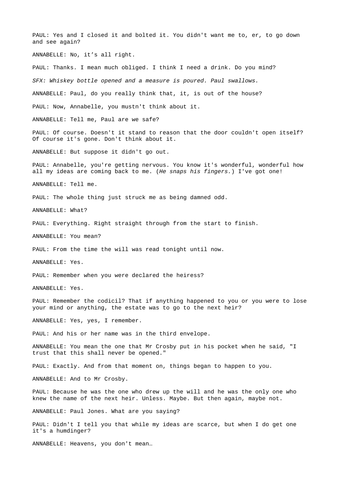PAUL: Yes and I closed it and bolted it. You didn't want me to, er, to go down and see again? ANNABELLE: No, it's all right. PAUL: Thanks. I mean much obliged. I think I need a drink. Do you mind? *SFX: Whiskey bottle opened and a measure is poured. Paul swallows.* ANNABELLE: Paul, do you really think that, it, is out of the house? PAUL: Now, Annabelle, you mustn't think about it. ANNABELLE: Tell me, Paul are we safe? PAUL: Of course. Doesn't it stand to reason that the door couldn't open itself? Of course it's gone. Don't think about it. ANNABELLE: But suppose it didn't go out. PAUL: Annabelle, you're getting nervous. You know it's wonderful, wonderful how all my ideas are coming back to me. (*He snaps his fingers.*) I've got one! ANNABELLE: Tell me. PAUL: The whole thing just struck me as being damned odd. ANNABELLE: What? PAUL: Everything. Right straight through from the start to finish. ANNABELLE: You mean? PAUL: From the time the will was read tonight until now. ANNABELLE: Yes. PAUL: Remember when you were declared the heiress? ANNABELLE: Yes. PAUL: Remember the codicil? That if anything happened to you or you were to lose your mind or anything, the estate was to go to the next heir? ANNABELLE: Yes, yes, I remember. PAUL: And his or her name was in the third envelope. ANNABELLE: You mean the one that Mr Crosby put in his pocket when he said, "I trust that this shall never be opened." PAUL: Exactly. And from that moment on, things began to happen to you. ANNABELLE: And to Mr Crosby. PAUL: Because he was the one who drew up the will and he was the only one who knew the name of the next heir. Unless. Maybe. But then again, maybe not. ANNABELLE: Paul Jones. What are you saying? PAUL: Didn't I tell you that while my ideas are scarce, but when I do get one it's a humdinger? ANNABELLE: Heavens, you don't mean…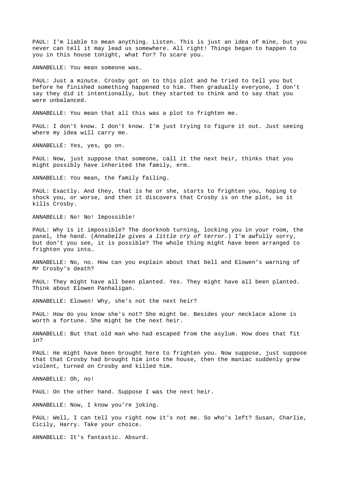PAUL: I'm liable to mean anything. Listen. This is just an idea of mine, but you never can tell it may lead us somewhere. All right! Things began to happen to you in this house tonight, what for? To scare you.

ANNABELLE: You mean someone was…

PAUL: Just a minute. Crosby got on to this plot and he tried to tell you but before he finished something happened to him. Then gradually everyone, I don't say they did it intentionally, but they started to think and to say that you were unbalanced.

ANNABELLE: You mean that all this was a plot to frighten me.

PAUL: I don't know. I don't know. I'm just trying to figure it out. Just seeing where my idea will carry me.

ANNABELLE: Yes, yes, go on.

PAUL: Now, just suppose that someone, call it the next heir, thinks that you might possibly have inherited the family, erm…

ANNABELLE: You mean, the family failing.

PAUL: Exactly. And they, that is he or she, starts to frighten you, hoping to shock you, or worse, and then it discovers that Crosby is on the plot, so it kills Crosby.

ANNABELLE: No! No! Impossible!

PAUL: Why is it impossible? The doorknob turning, locking you in your room, the panel, the hand. (*Annabelle gives a little cry of terror.*) I'm awfully sorry, but don't you see, it is possible? The whole thing might have been arranged to frighten you into…

ANNABELLE: No, no. How can you explain about that bell and Elowen's warning of Mr Crosby's death?

PAUL: They might have all been planted. Yes. They might have all been planted. Think about Elowen Panhaligan.

ANNABELLE: Elowen! Why, she's not the next heir?

PAUL: How do you know she's not? She might be. Besides your necklace alone is worth a fortune. She might be the next heir.

ANNABELLE: But that old man who had escaped from the asylum. How does that fit in?

PAUL: He might have been brought here to frighten you. Now suppose, just suppose that that Crosby had brought him into the house, then the maniac suddenly grew violent, turned on Crosby and killed him.

ANNABELLE: Oh, no!

PAUL: On the other hand. Suppose I was the next heir.

ANNABELLE: Now, I know you're joking.

PAUL: Well, I can tell you right now it's not me. So who's left? Susan, Charlie, Cicily, Harry. Take your choice.

ANNABELLE: It's fantastic. Absurd.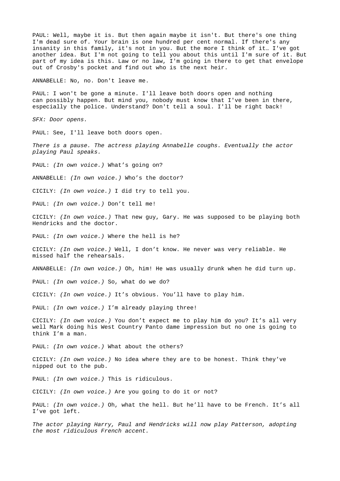PAUL: Well, maybe it is. But then again maybe it isn't. But there's one thing I'm dead sure of. Your brain is one hundred per cent normal. If there's any insanity in this family, it's not in you. But the more I think of it… I've got another idea. But I'm not going to tell you about this until I'm sure of it. But part of my idea is this. Law or no law, I'm going in there to get that envelope out of Crosby's pocket and find out who is the next heir.

ANNABELLE: No, no. Don't leave me.

PAUL: I won't be gone a minute. I'll leave both doors open and nothing can possibly happen. But mind you, nobody must know that I've been in there, especially the police. Understand? Don't tell a soul. I'll be right back!

*SFX: Door opens.*

PAUL: See, I'll leave both doors open.

*There is a pause. The actress playing Annabelle coughs. Eventually the actor playing Paul speaks.*

PAUL: *(In own voice.)* What's going on?

ANNABELLE: *(In own voice.)* Who's the doctor?

CICILY: *(In own voice.)* I did try to tell you.

PAUL: *(In own voice.)* Don't tell me!

CICILY: *(In own voice.)* That new guy, Gary. He was supposed to be playing both Hendricks and the doctor.

PAUL: *(In own voice.)* Where the hell is he?

CICILY: *(In own voice.)* Well, I don't know. He never was very reliable. He missed half the rehearsals.

ANNABELLE: *(In own voice.)* Oh, him! He was usually drunk when he did turn up.

PAUL: *(In own voice.)* So, what do we do?

CICILY: *(In own voice.)* It's obvious. You'll have to play him.

PAUL: *(In own voice.)* I'm already playing three!

CICILY: *(In own voice.)* You don't expect me to play him do you? It's all very well Mark doing his West Country Panto dame impression but no one is going to think I'm a man.

PAUL: *(In own voice.)* What about the others?

CICILY: *(In own voice.)* No idea where they are to be honest. Think they've nipped out to the pub.

PAUL: *(In own voice.)* This is ridiculous.

CICILY: *(In own voice.)* Are you going to do it or not?

PAUL: *(In own voice.)* Oh, what the hell. But he'll have to be French. It's all I've got left.

*The actor playing Harry, Paul and Hendricks will now play Patterson, adopting the most ridiculous French accent.*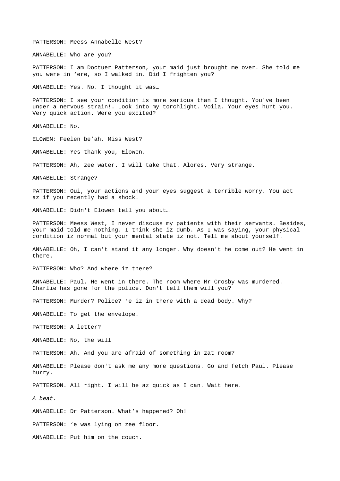PATTERSON: Meess Annabelle West?

ANNABELLE: Who are you?

PATTERSON: I am Doctuer Patterson, your maid just brought me over. She told me you were in 'ere, so I walked in. Did I frighten you?

ANNABELLE: Yes. No. I thought it was…

PATTERSON: I see your condition is more serious than I thought. You've been under a nervous strain!. Look into my torchlight. Voila. Your eyes hurt you. Very quick action. Were you excited?

ANNABELLE: No.

ELOWEN: Feelen be'ah, Miss West?

ANNABELLE: Yes thank you, Elowen.

PATTERSON: Ah, zee water. I will take that. Alores. Very strange.

ANNABELLE: Strange?

PATTERSON: Oui, your actions and your eyes suggest a terrible worry. You act az if you recently had a shock.

ANNABELLE: Didn't Elowen tell you about…

PATTERSON: Meess West, I never discuss my patients with their servants. Besides, your maid told me nothing. I think she iz dumb. As I was saying, your physical condition iz normal but your mental state iz not. Tell me about yourself.

ANNABELLE: Oh, I can't stand it any longer. Why doesn't he come out? He went in there.

PATTERSON: Who? And where iz there?

ANNABELLE: Paul. He went in there. The room where Mr Crosby was murdered. Charlie has gone for the police. Don't tell them will you?

PATTERSON: Murder? Police? 'e iz in there with a dead body. Why?

ANNABELLE: To get the envelope.

PATTERSON: A letter?

ANNABELLE: No, the will

PATTERSON: Ah. And you are afraid of something in zat room?

ANNABELLE: Please don't ask me any more questions. Go and fetch Paul. Please hurry.

PATTERSON. All right. I will be az quick as I can. Wait here.

*A beat.*

ANNABELLE: Dr Patterson. What's happened? Oh!

PATTERSON: 'e was lying on zee floor.

ANNABELLE: Put him on the couch.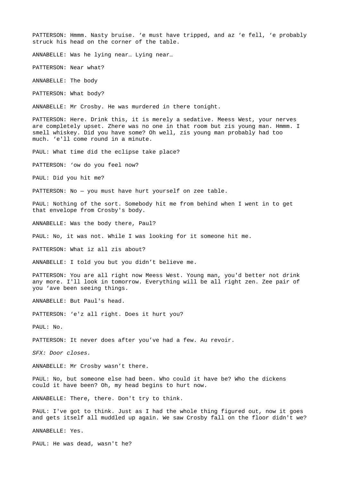PATTERSON: Hmmm. Nasty bruise. 'e must have tripped, and az 'e fell, 'e probably struck his head on the corner of the table.

ANNABELLE: Was he lying near… Lying near…

PATTERSON: Near what?

ANNABELLE: The body

PATTERSON: What body?

ANNABELLE: Mr Crosby. He was murdered in there tonight.

PATTERSON: Here. Drink this, it is merely a sedative. Meess West, your nerves are completely upset. Zhere was no one in that room but zis young man. Hmmm. I smell whiskey. Did you have some? Oh well, zis young man probably had too much. 'e'll come round in a minute.

PAUL: What time did the eclipse take place?

PATTERSON: 'ow do you feel now?

PAUL: Did you hit me?

PATTERSON: No — you must have hurt yourself on zee table.

PAUL: Nothing of the sort. Somebody hit me from behind when I went in to get that envelope from Crosby's body.

ANNABELLE: Was the body there, Paul?

PAUL: No, it was not. While I was looking for it someone hit me.

PATTERSON: What iz all zis about?

ANNABELLE: I told you but you didn't believe me.

PATTERSON: You are all right now Meess West. Young man, you'd better not drink any more. I'll look in tomorrow. Everything will be all right zen. Zee pair of you 'ave been seeing things.

ANNABELLE: But Paul's head.

PATTERSON: 'e'z all right. Does it hurt you?

PAUL: No.

PATTERSON: It never does after you've had a few. Au revoir.

*SFX: Door closes.*

ANNABELLE: Mr Crosby wasn't there.

PAUL: No, but someone else had been. Who could it have be? Who the dickens could it have been? Oh, my head begins to hurt now.

ANNABELLE: There, there. Don't try to think.

PAUL: I've got to think. Just as I had the whole thing figured out, now it goes and gets itself all muddled up again. We saw Crosby fall on the floor didn't we?

ANNABELLE: Yes.

PAUL: He was dead, wasn't he?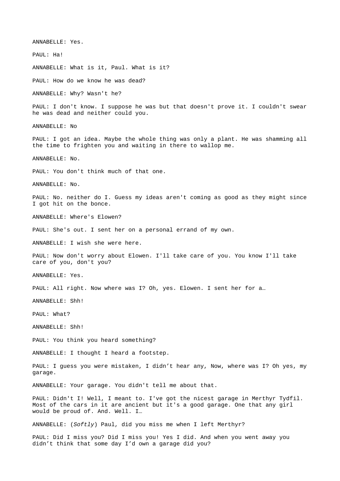ANNABELLE: Yes. PAUL: Ha! ANNABELLE: What is it, Paul. What is it? PAUL: How do we know he was dead? ANNABELLE: Why? Wasn't he? PAUL: I don't know. I suppose he was but that doesn't prove it. I couldn't swear he was dead and neither could you. ANNABELLE: No PAUL: I got an idea. Maybe the whole thing was only a plant. He was shamming all the time to frighten you and waiting in there to wallop me. ANNABELLE: No. PAUL: You don't think much of that one. ANNABELLE: No. PAUL: No. neither do I. Guess my ideas aren't coming as good as they might since I got hit on the bonce. ANNABELLE: Where's Elowen? PAUL: She's out. I sent her on a personal errand of my own. ANNABELLE: I wish she were here. PAUL: Now don't worry about Elowen. I'll take care of you. You know I'll take care of you, don't you? ANNABELLE: Yes. PAUL: All right. Now where was I? Oh, yes. Elowen. I sent her for a… ANNABELLE: Shh! PAUL: What? ANNABELLE: Shh! PAUL: You think you heard something? ANNABELLE: I thought I heard a footstep. PAUL: I guess you were mistaken, I didn't hear any, Now, where was I? Oh yes, my garage. ANNABELLE: Your garage. You didn't tell me about that. PAUL: Didn't I! Well, I meant to. I've got the nicest garage in Merthyr Tydfil. Most of the cars in it are ancient but it's a good garage. One that any girl would be proud of. And. Well. I… ANNABELLE: (*Softly*) Paul, did you miss me when I left Merthyr? PAUL: Did I miss you? Did I miss you! Yes I did. And when you went away you

didn't think that some day I'd own a garage did you?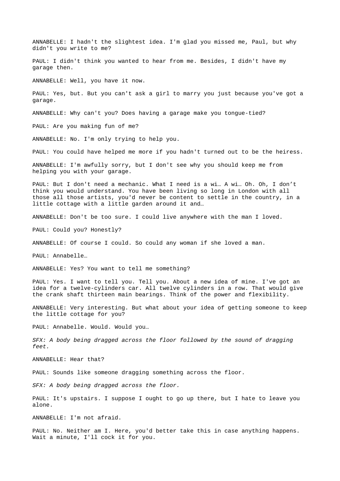ANNABELLE: I hadn't the slightest idea. I'm glad you missed me, Paul, but why didn't you write to me?

PAUL: I didn't think you wanted to hear from me. Besides, I didn't have my garage then.

ANNABELLE: Well, you have it now.

PAUL: Yes, but. But you can't ask a girl to marry you just because you've got a garage.

ANNABELLE: Why can't you? Does having a garage make you tongue-tied?

PAUL: Are you making fun of me?

ANNABELLE: No. I'm only trying to help you.

PAUL: You could have helped me more if you hadn't turned out to be the heiress.

ANNABELLE: I'm awfully sorry, but I don't see why you should keep me from helping you with your garage.

PAUL: But I don't need a mechanic. What I need is a wi… A wi… Oh. Oh, I don't think you would understand. You have been living so long in London with all those all those artists, you'd never be content to settle in the country, in a little cottage with a little garden around it and…

ANNABELLE: Don't be too sure. I could live anywhere with the man I loved.

PAUL: Could you? Honestly?

ANNABELLE: Of course I could. So could any woman if she loved a man.

PAUL: Annabelle…

ANNABELLE: Yes? You want to tell me something?

PAUL: Yes. I want to tell you. Tell you. About a new idea of mine. I've got an idea for a twelve-cylinders car. All twelve cylinders in a row. That would give the crank shaft thirteen main bearings. Think of the power and flexibility.

ANNABELLE: Very interesting. But what about your idea of getting someone to keep the little cottage for you?

PAUL: Annabelle. Would. Would you…

*SFX: A body being dragged across the floor followed by the sound of dragging feet.*

ANNABELLE: Hear that?

PAUL: Sounds like someone dragging something across the floor.

*SFX: A body being dragged across the floor.*

PAUL: It's upstairs. I suppose I ought to go up there, but I hate to leave you alone.

ANNABELLE: I'm not afraid.

PAUL: No. Neither am I. Here, you'd better take this in case anything happens. Wait a minute, I'll cock it for you.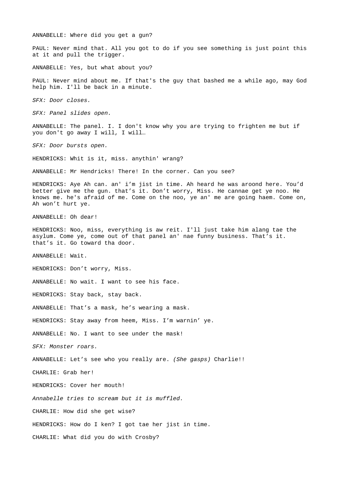ANNABELLE: Where did you get a gun?

PAUL: Never mind that. All you got to do if you see something is just point this at it and pull the trigger.

ANNABELLE: Yes, but what about you?

PAUL: Never mind about me. If that's the guy that bashed me a while ago, may God help him. I'll be back in a minute.

*SFX: Door closes.*

*SFX: Panel slides open.*

ANNABELLE: The panel. I. I don't know why you are trying to frighten me but if you don't go away I will, I will…

*SFX: Door bursts open.*

HENDRICKS: Whit is it, miss. anythin' wrang?

ANNABELLE: Mr Hendricks! There! In the corner. Can you see?

HENDRICKS: Aye Ah can. an' i'm jist in time. Ah heard he was aroond here. You'd better give me the gun. that's it. Don't worry, Miss. He cannae get ye noo. He knows me. he's afraid of me. Come on the noo, ye an' me are going haem. Come on, Ah won't hurt ye.

ANNABELLE: Oh dear!

HENDRICKS: Noo, miss, everything is aw reit. I'll just take him alang tae the asylum. Come ye, come out of that panel an' nae funny business. That's it. that's it. Go toward tha door.

ANNABELLE: Wait.

HENDRICKS: Don't worry, Miss.

ANNABELLE: No wait. I want to see his face.

HENDRICKS: Stay back, stay back.

ANNABELLE: That's a mask, he's wearing a mask.

HENDRICKS: Stay away from heem, Miss. I'm warnin' ye.

ANNABELLE: No. I want to see under the mask!

*SFX: Monster roars.*

ANNABELLE: Let's see who you really are. *(She gasps)* Charlie!!

CHARLIE: Grab her!

HENDRICKS: Cover her mouth!

*Annabelle tries to scream but it is muffled.*

CHARLIE: How did she get wise?

HENDRICKS: How do I ken? I got tae her jist in time.

CHARLIE: What did you do with Crosby?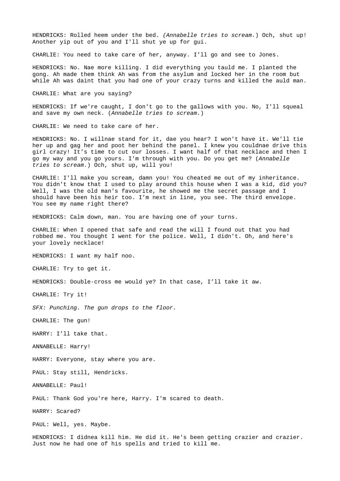HENDRICKS: Rolled heem under the bed. *(Annabelle tries to scream.*) Och, shut up! Another yip out of you and I'll shut ye up for gui.

CHARLIE: You need to take care of her, anyway. I'll go and see to Jones.

HENDRICKS: No. Nae more killing. I did everything you tauld me. I planted the gong. Ah made them think Ah was from the asylum and locked her in the room but while Ah was daint that you had one of your crazy turns and killed the auld man.

CHARLIE: What are you saying?

HENDRICKS: If we're caught, I don't go to the gallows with you. No, I'll squeal and save my own neck. (*Annabelle tries to scream.*)

CHARLIE: We need to take care of her.

HENDRICKS: No. I willnae stand for it, dae you hear? I won't have it. We'll tie her up and gag her and poot her behind the panel. I knew you couldnae drive this girl crazy! It's time to cut our losses. I want half of that necklace and then I go my way and you go yours. I'm through with you. Do you get me? (*Annabelle tries to scream.*) Och, shut up, will you!

CHARLIE: I'll make you scream, damn you! You cheated me out of my inheritance. You didn't know that I used to play around this house when I was a kid, did you? Well, I was the old man's favourite, he showed me the secret passage and I should have been his heir too. I'm next in line, you see. The third envelope. You see my name right there?

HENDRICKS: Calm down, man. You are having one of your turns.

CHARLIE: When I opened that safe and read the will I found out that you had robbed me. You thought I went for the police. Well, I didn't. Oh, and here's your lovely necklace!

HENDRICKS: I want my half noo.

CHARLIE: Try to get it.

HENDRICKS: Double-cross me would ye? In that case, I'll take it aw.

CHARLIE: Try it!

*SFX: Punching. The gun drops to the floor.*

CHARLIE: The gun!

HARRY: I'll take that.

ANNABELLE: Harry!

HARRY: Everyone, stay where you are.

PAUL: Stay still, Hendricks.

ANNABELLE: Paul!

PAUL: Thank God you're here, Harry. I'm scared to death.

HARRY: Scared?

PAUL: Well, yes. Maybe.

HENDRICKS: I didnea kill him. He did it. He's been getting crazier and crazier. Just now he had one of his spells and tried to kill me.